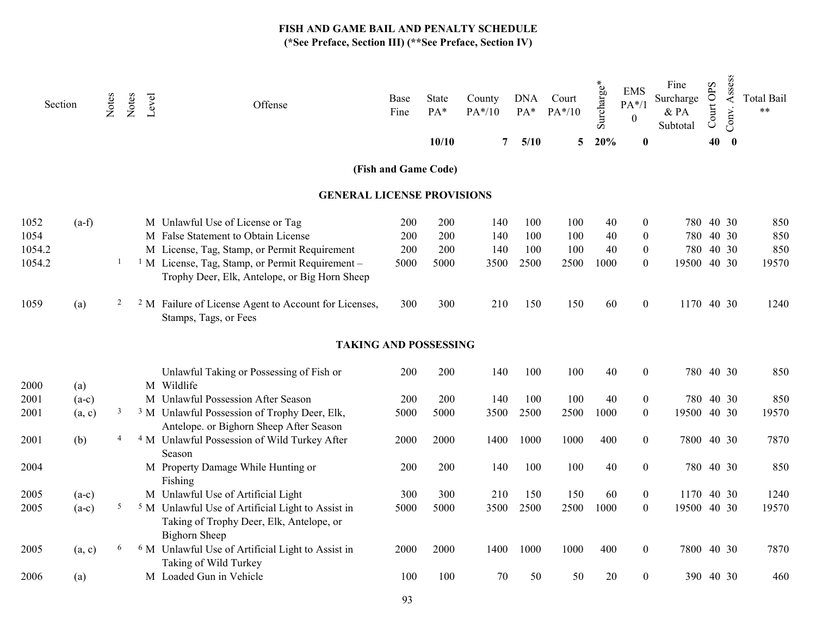| Section |         | Notes          | Notes | Level | Offense                                                                                                                          | Base<br>Fine | <b>State</b><br>PA*<br>10/10 | County<br>PA*/10<br>7 | <b>DNA</b><br>$PA*$<br>5/10 | Court<br>$PA*/10$<br>5 | Surcharge*<br>20% | <b>EMS</b><br>$PA*/1$<br>$\theta$<br>$\bf{0}$ | Fine<br>Surcharge<br>& PA<br>Subtotal | Court OPS<br>40 | Assess<br>Conv.<br>$\bf{0}$ | <b>Total Bail</b><br>$***$ |
|---------|---------|----------------|-------|-------|----------------------------------------------------------------------------------------------------------------------------------|--------------|------------------------------|-----------------------|-----------------------------|------------------------|-------------------|-----------------------------------------------|---------------------------------------|-----------------|-----------------------------|----------------------------|
|         |         |                |       |       |                                                                                                                                  |              | (Fish and Game Code)         |                       |                             |                        |                   |                                               |                                       |                 |                             |                            |
|         |         |                |       |       | <b>GENERAL LICENSE PROVISIONS</b>                                                                                                |              |                              |                       |                             |                        |                   |                                               |                                       |                 |                             |                            |
|         |         |                |       |       |                                                                                                                                  |              |                              |                       |                             |                        |                   |                                               |                                       |                 |                             |                            |
| 1052    | $(a-f)$ |                |       |       | M Unlawful Use of License or Tag                                                                                                 | 200          | 200                          | 140                   | 100                         | 100                    | 40                | $\mathbf{0}$                                  |                                       | 780 40 30       |                             | 850                        |
| 1054    |         |                |       |       | M False Statement to Obtain License                                                                                              | 200          | 200                          | 140                   | 100                         | 100                    | 40                | $\overline{0}$                                |                                       | 780 40 30       |                             | 850                        |
| 1054.2  |         |                |       |       | M License, Tag, Stamp, or Permit Requirement                                                                                     | 200          | 200                          | 140                   | 100                         | 100                    | 40                | $\mathbf{0}$                                  |                                       | 780 40 30       |                             | 850                        |
| 1054.2  |         | 1              |       |       | <sup>1</sup> M License, Tag, Stamp, or Permit Requirement -<br>Trophy Deer, Elk, Antelope, or Big Horn Sheep                     | 5000         | 5000                         | 3500                  | 2500                        | 2500                   | 1000              | $\mathbf{0}$                                  | 19500 40 30                           |                 |                             | 19570                      |
| 1059    | (a)     | 2              |       |       | <sup>2</sup> M Failure of License Agent to Account for Licenses,<br>Stamps, Tags, or Fees                                        | 300          | 300                          | 210                   | 150                         | 150                    | 60                | $\overline{0}$                                | 1170 40 30                            |                 |                             | 1240                       |
|         |         |                |       |       | <b>TAKING AND POSSESSING</b>                                                                                                     |              |                              |                       |                             |                        |                   |                                               |                                       |                 |                             |                            |
| 2000    | (a)     |                |       |       | Unlawful Taking or Possessing of Fish or<br>M Wildlife                                                                           | <b>200</b>   | 200                          | 140                   | 100                         | 100                    | 40                | $\overline{0}$                                |                                       | 780 40 30       |                             | 850                        |
| 2001    | $(a-c)$ |                |       |       | M Unlawful Possession After Season                                                                                               | 200          | 200                          | 140                   | 100                         | 100                    | 40                | $\boldsymbol{0}$                              |                                       | 780 40 30       |                             | 850                        |
| 2001    | (a, c)  | $\mathfrak{Z}$ |       |       | <sup>3</sup> M Unlawful Possession of Trophy Deer, Elk,<br>Antelope. or Bighorn Sheep After Season                               | 5000         | 5000                         | 3500                  | 2500                        | 2500                   | 1000              | $\overline{0}$                                | 19500 40 30                           |                 |                             | 19570                      |
| 2001    | (b)     | $\overline{4}$ |       |       | <sup>4</sup> M Unlawful Possession of Wild Turkey After<br>Season                                                                | 2000         | 2000                         | 1400                  | 1000                        | 1000                   | 400               | $\boldsymbol{0}$                              | 7800 40 30                            |                 |                             | 7870                       |
| 2004    |         |                |       |       | M Property Damage While Hunting or<br>Fishing                                                                                    | 200          | 200                          | 140                   | 100                         | 100                    | 40                | $\boldsymbol{0}$                              |                                       | 780 40 30       |                             | 850                        |
| 2005    | $(a-c)$ |                |       |       | M Unlawful Use of Artificial Light                                                                                               | 300          | 300                          | 210                   | 150                         | 150                    | 60                | $\mathbf{0}$                                  | 1170 40 30                            |                 |                             | 1240                       |
| 2005    | $(a-c)$ | 5 <sub>5</sub> |       |       | <sup>5</sup> M Unlawful Use of Artificial Light to Assist in<br>Taking of Trophy Deer, Elk, Antelope, or<br><b>Bighorn Sheep</b> | 5000         | 5000                         | 3500                  | 2500                        | 2500                   | 1000              | $\mathbf{0}$                                  | 19500 40 30                           |                 |                             | 19570                      |
| 2005    | (a, c)  | 6              |       |       | <sup>6</sup> M Unlawful Use of Artificial Light to Assist in<br>Taking of Wild Turkey                                            | 2000         | 2000                         | 1400                  | 1000                        | 1000                   | 400               | $\boldsymbol{0}$                              | 7800 40 30                            |                 |                             | 7870                       |
| 2006    | (a)     |                |       |       | M Loaded Gun in Vehicle                                                                                                          | 100          | 100                          | 70                    | 50                          | 50                     | 20                | 0                                             |                                       | 390 40 30       |                             | 460                        |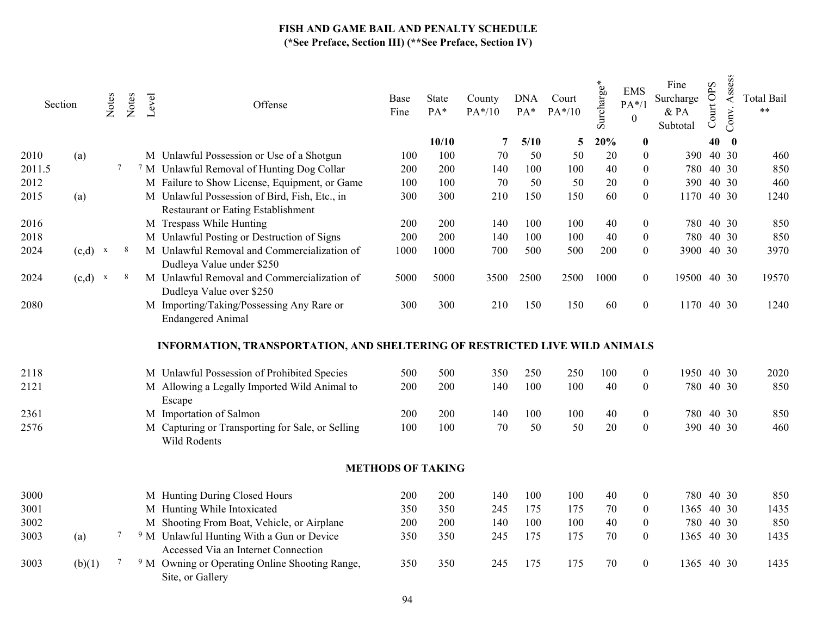|        | Section   | Notes | Notes  | Level | Offense                                                                                     | Base<br>Fine             | State<br>PA* | County<br>$PA*/10$ | <b>DNA</b><br>$PA*$ | Court<br>$PA*/10$ | ¥<br>Φ<br>Surcharge | <b>EMS</b><br>$PA*/1$<br>$\boldsymbol{0}$ | Fine<br>Surcharge<br>& PA<br>Subtotal | Court OPS | Assess<br>Conv. | <b>Total Bail</b><br>$***$ |
|--------|-----------|-------|--------|-------|---------------------------------------------------------------------------------------------|--------------------------|--------------|--------------------|---------------------|-------------------|---------------------|-------------------------------------------|---------------------------------------|-----------|-----------------|----------------------------|
|        |           |       |        |       |                                                                                             |                          | 10/10        | 7                  | 5/10                | 5                 | 20%                 | $\boldsymbol{0}$                          |                                       | 40        | $\mathbf 0$     |                            |
| 2010   | (a)       |       |        |       | M Unlawful Possession or Use of a Shotgun                                                   | 100                      | 100          | 70                 | 50                  | 50                | 20                  | $\theta$                                  |                                       | 390 40 30 |                 | 460                        |
| 2011.5 |           |       | $\tau$ |       | <sup>7</sup> M Unlawful Removal of Hunting Dog Collar                                       | 200                      | 200          | 140                | 100                 | 100               | 40                  | $\theta$                                  |                                       | 780 40 30 |                 | 850                        |
| 2012   |           |       |        |       | M Failure to Show License, Equipment, or Game                                               | 100                      | 100          | 70                 | 50                  | 50                | 20                  | $\boldsymbol{0}$                          | 390                                   |           | 40 30           | 460                        |
| 2015   | (a)       |       |        |       | M Unlawful Possession of Bird, Fish, Etc., in<br>Restaurant or Eating Establishment         | 300                      | 300          | 210                | 150                 | 150               | 60                  | $\overline{0}$                            | 1170                                  | 40 30     |                 | 1240                       |
| 2016   |           |       |        |       | M Trespass While Hunting                                                                    | 200                      | 200          | 140                | 100                 | 100               | 40                  | $\overline{0}$                            |                                       | 780 40 30 |                 | 850                        |
| 2018   |           |       |        |       | M Unlawful Posting or Destruction of Signs                                                  | 200                      | 200          | 140                | 100                 | 100               | 40                  | $\boldsymbol{0}$                          |                                       | 780 40 30 |                 | 850                        |
| 2024   | $(c,d)$ x |       |        |       | M Unlawful Removal and Commercialization of<br>Dudleya Value under \$250                    | 1000                     | 1000         | 700                | 500                 | 500               | 200                 | $\mathbf{0}$                              | 3900 40 30                            |           |                 | 3970                       |
| 2024   | $(c,d)$ x |       |        |       | M Unlawful Removal and Commercialization of<br>Dudleya Value over \$250                     | 5000                     | 5000         | 3500               | 2500                | 2500              | 1000                | $\boldsymbol{0}$                          | 19500 40 30                           |           |                 | 19570                      |
| 2080   |           |       |        |       | M Importing/Taking/Possessing Any Rare or<br><b>Endangered Animal</b>                       | 300                      | 300          | 210                | 150                 | 150               | 60                  | $\boldsymbol{0}$                          | 1170 40 30                            |           |                 | 1240                       |
|        |           |       |        |       | INFORMATION, TRANSPORTATION, AND SHELTERING OF RESTRICTED LIVE WILD ANIMALS                 |                          |              |                    |                     |                   |                     |                                           |                                       |           |                 |                            |
| 2118   |           |       |        |       | M Unlawful Possession of Prohibited Species                                                 | 500                      | 500          | 350                | 250                 | 250               | 100                 | $\boldsymbol{0}$                          | 1950 40 30                            |           |                 | 2020                       |
| 2121   |           |       |        |       | M Allowing a Legally Imported Wild Animal to<br>Escape                                      | 200                      | 200          | 140                | 100                 | 100               | 40                  | $\boldsymbol{0}$                          |                                       | 780 40 30 |                 | 850                        |
| 2361   |           |       |        |       | M Importation of Salmon                                                                     | 200                      | 200          | 140                | 100                 | 100               | 40                  | $\boldsymbol{0}$                          |                                       | 780 40 30 |                 | 850                        |
| 2576   |           |       |        |       | M Capturing or Transporting for Sale, or Selling<br>Wild Rodents                            | 100                      | 100          | 70                 | 50                  | 50                | 20                  | $\mathbf{0}$                              |                                       | 390 40 30 |                 | 460                        |
|        |           |       |        |       |                                                                                             | <b>METHODS OF TAKING</b> |              |                    |                     |                   |                     |                                           |                                       |           |                 |                            |
| 3000   |           |       |        |       | M Hunting During Closed Hours                                                               | 200                      | 200          | 140                | 100                 | 100               | 40                  | $\boldsymbol{0}$                          |                                       | 780 40 30 |                 | 850                        |
| 3001   |           |       |        |       | M Hunting While Intoxicated                                                                 | 350                      | 350          | 245                | 175                 | 175               | 70                  | $\boldsymbol{0}$                          | 1365 40 30                            |           |                 | 1435                       |
| 3002   |           |       |        |       | M Shooting From Boat, Vehicle, or Airplane                                                  | 200                      | 200          | 140                | 100                 | 100               | 40                  | $\boldsymbol{0}$                          |                                       | 780 40 30 |                 | 850                        |
| 3003   | (a)       |       | 7      |       | <sup>9</sup> M Unlawful Hunting With a Gun or Device<br>Accessed Via an Internet Connection | 350                      | 350          | 245                | 175                 | 175               | 70                  | $\mathbf{0}$                              | 1365 40 30                            |           |                 | 1435                       |
| 3003   | (b)(1)    |       | 7      |       | <sup>9</sup> M Owning or Operating Online Shooting Range,<br>Site, or Gallery               | 350                      | 350          | 245                | 175                 | 175               | 70                  | $\mathbf{0}$                              | 1365 40 30                            |           |                 | 1435                       |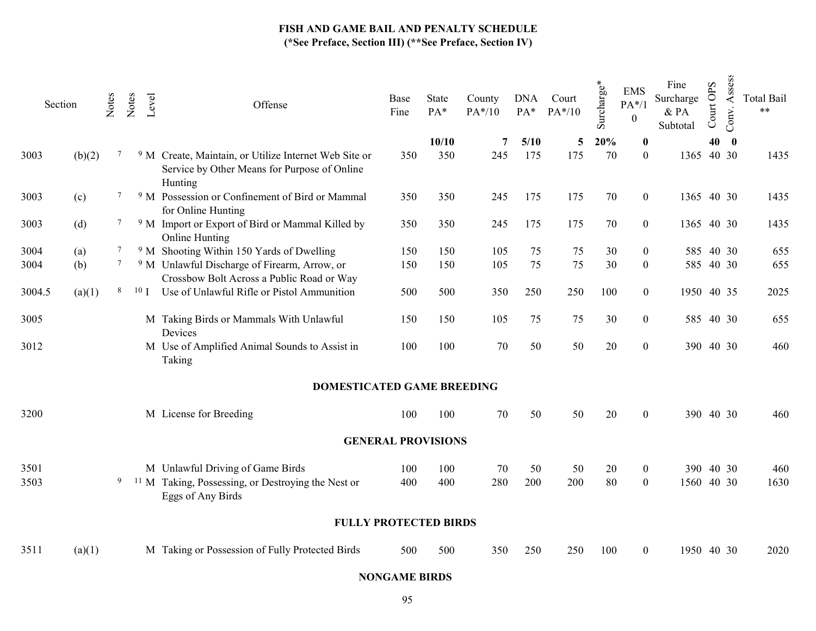| Section |        | Notes  | Notes | Level           | Offense                                                                                                                     | Base<br>Fine              | State<br>PA* | County<br>$PA*/10$ | <b>DNA</b><br>$PA*$ | Court<br>$PA*/10$ | Surcharge* | <b>EMS</b><br>$PA*/1$<br>$\mathbf{0}$ | Fine<br>Surcharge<br>& PA<br>Subtotal | Court OPS | Assess<br>Conv. | <b>Total Bail</b><br>$***$ |
|---------|--------|--------|-------|-----------------|-----------------------------------------------------------------------------------------------------------------------------|---------------------------|--------------|--------------------|---------------------|-------------------|------------|---------------------------------------|---------------------------------------|-----------|-----------------|----------------------------|
|         |        |        |       |                 |                                                                                                                             |                           | 10/10        | 7                  | 5/10                | 5                 | 20%        | $\bf{0}$                              |                                       | 40        | $\mathbf{0}$    |                            |
| 3003    | (b)(2) | 7      |       |                 | <sup>9</sup> M Create, Maintain, or Utilize Internet Web Site or<br>Service by Other Means for Purpose of Online<br>Hunting | 350                       | 350          | 245                | 175                 | 175               | 70         | $\boldsymbol{0}$                      | 1365 40 30                            |           |                 | 1435                       |
| 3003    | (c)    | 7      |       |                 | <sup>9</sup> M Possession or Confinement of Bird or Mammal<br>for Online Hunting                                            | 350                       | 350          | 245                | 175                 | 175               | 70         | $\boldsymbol{0}$                      | 1365 40 30                            |           |                 | 1435                       |
| 3003    | (d)    | $\tau$ |       |                 | <sup>9</sup> M Import or Export of Bird or Mammal Killed by<br>Online Hunting                                               | 350                       | 350          | 245                | 175                 | 175               | 70         | $\boldsymbol{0}$                      | 1365 40 30                            |           |                 | 1435                       |
| 3004    | (a)    |        |       |                 | <sup>9</sup> M Shooting Within 150 Yards of Dwelling                                                                        | 150                       | 150          | 105                | 75                  | 75                | 30         | 0                                     |                                       | 585 40 30 |                 | 655                        |
| 3004    | (b)    | $\tau$ |       |                 | <sup>9</sup> M Unlawful Discharge of Firearm, Arrow, or<br>Crossbow Bolt Across a Public Road or Way                        | 150                       | 150          | 105                | 75                  | 75                | 30         | $\theta$                              |                                       | 585 40 30 |                 | 655                        |
| 3004.5  | (a)(1) | 8      |       | 10 <sub>1</sub> | Use of Unlawful Rifle or Pistol Ammunition                                                                                  | 500                       | 500          | 350                | 250                 | 250               | 100        | $\mathbf{0}$                          | 1950 40 35                            |           |                 | 2025                       |
| 3005    |        |        |       |                 | M Taking Birds or Mammals With Unlawful<br>Devices                                                                          | 150                       | 150          | 105                | 75                  | 75                | 30         | $\mathbf{0}$                          |                                       | 585 40 30 |                 | 655                        |
| 3012    |        |        |       |                 | M Use of Amplified Animal Sounds to Assist in<br>Taking                                                                     | 100                       | 100          | 70                 | 50                  | 50                | $20\,$     | $\boldsymbol{0}$                      |                                       | 390 40 30 |                 | 460                        |
|         |        |        |       |                 | <b>DOMESTICATED GAME BREEDING</b>                                                                                           |                           |              |                    |                     |                   |            |                                       |                                       |           |                 |                            |
| 3200    |        |        |       |                 | M License for Breeding                                                                                                      | 100                       | 100          | 70                 | 50                  | 50                | 20         | $\overline{0}$                        |                                       | 390 40 30 |                 | 460                        |
|         |        |        |       |                 |                                                                                                                             | <b>GENERAL PROVISIONS</b> |              |                    |                     |                   |            |                                       |                                       |           |                 |                            |
| 3501    |        |        |       |                 | M Unlawful Driving of Game Birds                                                                                            | 100                       | 100          | 70                 | 50                  | 50                | 20         | $\boldsymbol{0}$                      | 390                                   | 40 30     |                 | 460                        |
| 3503    |        | 9      |       |                 | <sup>11</sup> M Taking, Possessing, or Destroying the Nest or<br>Eggs of Any Birds                                          | 400                       | 400          | 280                | 200                 | 200               | 80         | $\theta$                              | 1560 40 30                            |           |                 | 1630                       |
|         |        |        |       |                 | <b>FULLY PROTECTED BIRDS</b>                                                                                                |                           |              |                    |                     |                   |            |                                       |                                       |           |                 |                            |
| 3511    | (a)(1) |        |       |                 | M Taking or Possession of Fully Protected Birds                                                                             | 500                       | 500          | 350                | 250                 | 250               | 100        | $\overline{0}$                        | 1950 40 30                            |           |                 | 2020                       |
|         |        |        |       |                 |                                                                                                                             | MAMA LUE BIBBO            |              |                    |                     |                   |            |                                       |                                       |           |                 |                            |

# NONGAME BIRDS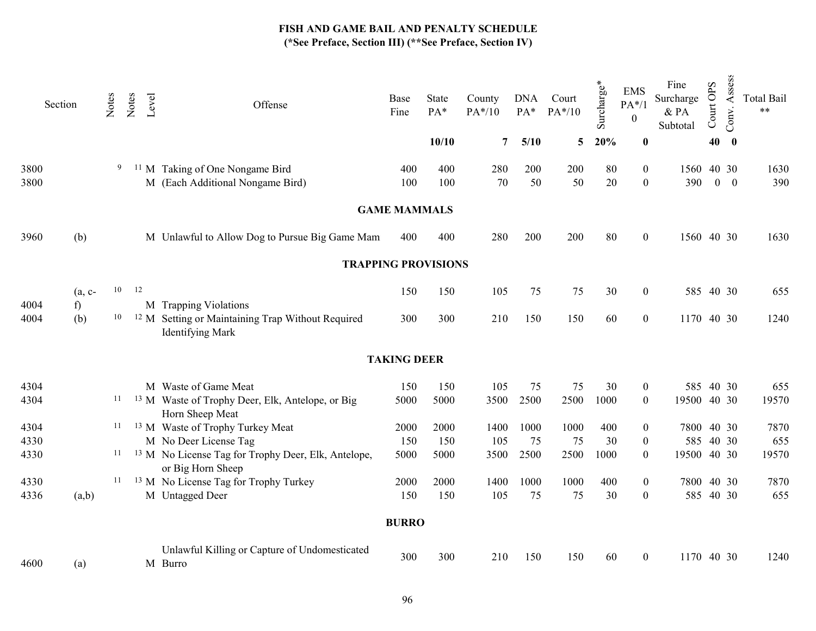|              | Section |          | Notes | Notes | Level<br>Offense                                                                        | Base<br>Fine        | State<br>PA* | County<br>PA*/10 | <b>DNA</b><br>$PA*$ | Court<br>$PA*/10$ | Surcharge*    | <b>EMS</b><br>$PA*/1$<br>$\mathbf{0}$ | Fine<br>Surcharge<br>$\&$ PA<br>Subtotal | Court OPS   | Assess<br>Conv.  | <b>Total Bail</b><br>$***$ |
|--------------|---------|----------|-------|-------|-----------------------------------------------------------------------------------------|---------------------|--------------|------------------|---------------------|-------------------|---------------|---------------------------------------|------------------------------------------|-------------|------------------|----------------------------|
|              |         |          |       |       |                                                                                         |                     | 10/10        | $7^{\circ}$      | 5/10                |                   | $5\quad 20\%$ | $\bf{0}$                              |                                          | 40          | $\boldsymbol{0}$ |                            |
| 3800<br>3800 |         |          | 9     |       | <sup>11</sup> M Taking of One Nongame Bird<br>M (Each Additional Nongame Bird)          | 400<br>100          | 400<br>100   | 280<br>70        | 200<br>50           | 200<br>50         | 80<br>20      | $\boldsymbol{0}$<br>$\boldsymbol{0}$  | 1560 40 30<br>390                        | $0 \quad 0$ |                  | 1630<br>390                |
|              |         |          |       |       |                                                                                         | <b>GAME MAMMALS</b> |              |                  |                     |                   |               |                                       |                                          |             |                  |                            |
| 3960         | (b)     |          |       |       | M Unlawful to Allow Dog to Pursue Big Game Mam                                          | 400                 | 400          | 280              | 200                 | 200               | 80            | $\boldsymbol{0}$                      | 1560 40 30                               |             |                  | 1630                       |
|              |         |          |       |       | <b>TRAPPING PROVISIONS</b>                                                              |                     |              |                  |                     |                   |               |                                       |                                          |             |                  |                            |
|              |         | $(a, c-$ | 10    | 12    |                                                                                         | 150                 | 150          | 105              | 75                  | 75                | 30            | $\boldsymbol{0}$                      |                                          | 585 40 30   |                  | 655                        |
| 4004         | f       |          |       |       | M Trapping Violations                                                                   |                     |              |                  |                     |                   |               |                                       |                                          |             |                  |                            |
| 4004         | (b)     |          | 10    |       | <sup>12</sup> M Setting or Maintaining Trap Without Required<br><b>Identifying Mark</b> | 300                 | 300          | 210              | 150                 | 150               | 60            | $\overline{0}$                        | 1170 40 30                               |             |                  | 1240                       |
|              |         |          |       |       |                                                                                         | <b>TAKING DEER</b>  |              |                  |                     |                   |               |                                       |                                          |             |                  |                            |
| 4304         |         |          |       |       | M Waste of Game Meat                                                                    | 150                 | 150          | 105              | 75                  | 75                | 30            | $\boldsymbol{0}$                      |                                          | 585 40 30   |                  | 655                        |
| 4304         |         |          | 11    |       | <sup>13</sup> M Waste of Trophy Deer, Elk, Antelope, or Big<br>Horn Sheep Meat          | 5000                | 5000         | 3500             | 2500                | 2500              | 1000          | $\boldsymbol{0}$                      | 19500 40 30                              |             |                  | 19570                      |
| 4304         |         |          | 11    |       | <sup>13</sup> M Waste of Trophy Turkey Meat                                             | 2000                | 2000         | 1400             | 1000                | 1000              | 400           | $\boldsymbol{0}$                      | 7800 40 30                               |             |                  | 7870                       |
| 4330         |         |          |       |       | M No Deer License Tag                                                                   | 150                 | 150          | 105              | 75                  | 75                | 30            | $\boldsymbol{0}$                      |                                          | 585 40 30   |                  | 655                        |
| 4330         |         |          | 11    |       | <sup>13</sup> M No License Tag for Trophy Deer, Elk, Antelope,<br>or Big Horn Sheep     | 5000                | 5000         | 3500             | 2500                | 2500              | 1000          | $\boldsymbol{0}$                      | 19500 40 30                              |             |                  | 19570                      |
| 4330         |         |          | 11    |       | <sup>13</sup> M No License Tag for Trophy Turkey                                        | 2000                | 2000         | 1400             | 1000                | 1000              | 400           | $\boldsymbol{0}$                      | 7800 40 30                               |             |                  | 7870                       |
| 4336         |         | (a,b)    |       |       | M Untagged Deer                                                                         | 150                 | 150          | 105              | 75                  | 75                | 30            | $\overline{0}$                        |                                          | 585 40 30   |                  | 655                        |
|              |         |          |       |       |                                                                                         | <b>BURRO</b>        |              |                  |                     |                   |               |                                       |                                          |             |                  |                            |
| 4600         | (a)     |          |       |       | Unlawful Killing or Capture of Undomesticated<br>M Burro                                | 300                 | 300          | 210              | 150                 | 150               | 60            | $\mathbf{0}$                          | 1170 40 30                               |             |                  | 1240                       |
|              |         |          |       |       |                                                                                         |                     |              |                  |                     |                   |               |                                       |                                          |             |                  |                            |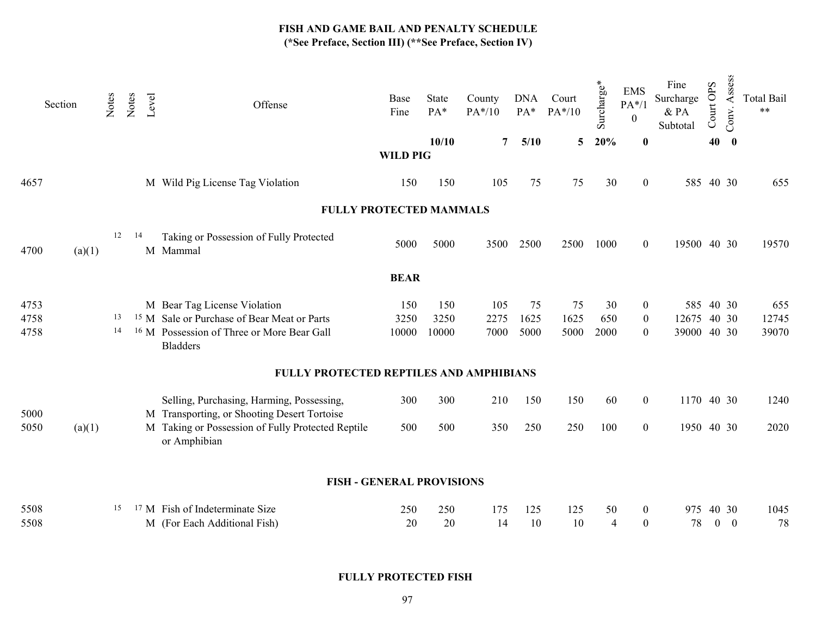| Section |        | Notes | Notes | Level | Offense                                                                                  | Base<br>Fine    | State<br>PA*<br>10/10 | County<br>$PA*/10$<br>7 | <b>DNA</b><br>PA*<br>5/10 | Court<br>$PA*/10$<br>5 | Surcharge*<br>20% | <b>EMS</b><br>$PA*/1$<br>$\boldsymbol{0}$<br>$\bf{0}$ | Fine<br>Surcharge<br>$&$ PA<br>Subtotal | Court OPS<br>40 | Assess<br>Conv.<br>$\bf{0}$ | <b>Total Bail</b><br>$***$ |
|---------|--------|-------|-------|-------|------------------------------------------------------------------------------------------|-----------------|-----------------------|-------------------------|---------------------------|------------------------|-------------------|-------------------------------------------------------|-----------------------------------------|-----------------|-----------------------------|----------------------------|
|         |        |       |       |       |                                                                                          | <b>WILD PIG</b> |                       |                         |                           |                        |                   |                                                       |                                         |                 |                             |                            |
| 4657    |        |       |       |       | M Wild Pig License Tag Violation                                                         | 150             | 150                   | 105                     | 75                        | 75                     | 30                | $\boldsymbol{0}$                                      | 585 40 30                               |                 |                             | 655                        |
|         |        |       |       |       | <b>FULLY PROTECTED MAMMALS</b>                                                           |                 |                       |                         |                           |                        |                   |                                                       |                                         |                 |                             |                            |
| 4700    | (a)(1) | 12    | 14    |       | Taking or Possession of Fully Protected<br>M Mammal                                      | 5000            | 5000                  | 3500                    | 2500                      | 2500                   | 1000              | $\boldsymbol{0}$                                      | 19500 40 30                             |                 |                             | 19570                      |
|         |        |       |       |       |                                                                                          | <b>BEAR</b>     |                       |                         |                           |                        |                   |                                                       |                                         |                 |                             |                            |
| 4753    |        |       |       |       | M Bear Tag License Violation                                                             | 150             | 150                   | 105                     | 75                        | 75                     | 30                | $\overline{0}$                                        | 585 40 30                               |                 |                             | 655                        |
| 4758    |        | 13    |       |       | <sup>15</sup> M Sale or Purchase of Bear Meat or Parts                                   | 3250            | 3250                  | 2275                    | 1625                      | 1625                   | 650               | $\boldsymbol{0}$                                      | 12675                                   |                 | 40 30                       | 12745                      |
| 4758    |        | 14    |       |       | <sup>16</sup> M Possession of Three or More Bear Gall<br><b>Bladders</b>                 | 10000           | 10000                 | 7000                    | 5000                      | 5000                   | 2000              | $\boldsymbol{0}$                                      | 39000                                   |                 | 40 30                       | 39070                      |
|         |        |       |       |       | FULLY PROTECTED REPTILES AND AMPHIBIANS                                                  |                 |                       |                         |                           |                        |                   |                                                       |                                         |                 |                             |                            |
| 5000    |        |       |       |       | Selling, Purchasing, Harming, Possessing,<br>M Transporting, or Shooting Desert Tortoise | 300             | 300                   | 210                     | 150                       | 150                    | 60                | $\overline{0}$                                        | 1170 40 30                              |                 |                             | 1240                       |
| 5050    | (a)(1) |       |       |       | M Taking or Possession of Fully Protected Reptile<br>or Amphibian                        | 500             | 500                   | 350                     | 250                       | 250                    | 100               | $\overline{0}$                                        | 1950 40 30                              |                 |                             | 2020                       |
|         |        |       |       |       | <b>FISH - GENERAL PROVISIONS</b>                                                         |                 |                       |                         |                           |                        |                   |                                                       |                                         |                 |                             |                            |
|         |        |       |       |       |                                                                                          |                 |                       |                         |                           |                        |                   |                                                       |                                         |                 |                             |                            |
| 5508    |        | 15    |       |       | <sup>17</sup> M Fish of Indeterminate Size                                               | 250             | 250                   | 175                     | 125                       | 125                    | 50                | $\mathbf{0}$                                          | 975                                     |                 | 40 30                       | 1045                       |
| 5508    |        |       |       |       | M (For Each Additional Fish)                                                             | 20              | 20                    | 14                      | 10                        | 10                     | $\overline{4}$    | $\overline{0}$                                        | 78                                      | $\overline{0}$  | $\overline{0}$              | 78                         |

FULLY PROTECTED FISH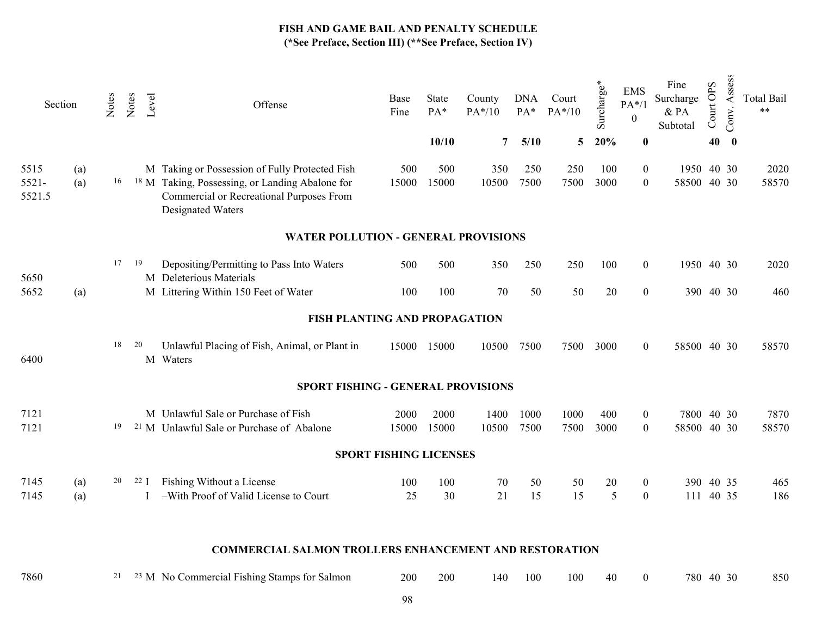| Section                    |            | Notes | Notes | Level | Offense                                                                                                                                                                       | Base<br>Fine | State<br>PA* | County<br>$PA*/10$ | <b>DNA</b><br>$PA*$ | Court<br>$PA*/10$ | Surcharge*  | <b>EMS</b><br>$PA*/1$<br>$\boldsymbol{0}$ | Fine<br>Surcharge<br>$&$ PA<br>Subtotal | Court OPS | Assess<br>Conv. | <b>Total Bail</b><br>$\star\star$ |
|----------------------------|------------|-------|-------|-------|-------------------------------------------------------------------------------------------------------------------------------------------------------------------------------|--------------|--------------|--------------------|---------------------|-------------------|-------------|-------------------------------------------|-----------------------------------------|-----------|-----------------|-----------------------------------|
|                            |            |       |       |       |                                                                                                                                                                               |              | 10/10        | $\overline{7}$     | 5/10                | 5                 | 20%         | $\bf{0}$                                  |                                         | 40        | $\mathbf 0$     |                                   |
| 5515<br>$5521 -$<br>5521.5 | (a)<br>(a) | 16    |       |       | M Taking or Possession of Fully Protected Fish<br><sup>18</sup> M Taking, Possessing, or Landing Abalone for<br>Commercial or Recreational Purposes From<br>Designated Waters | 500<br>15000 | 500<br>15000 | 350<br>10500       | 250<br>7500         | 250<br>7500       | 100<br>3000 | $\mathbf{0}$<br>$\boldsymbol{0}$          | 1950 40 30<br>58500 40 30               |           |                 | 2020<br>58570                     |
|                            |            |       |       |       | <b>WATER POLLUTION - GENERAL PROVISIONS</b>                                                                                                                                   |              |              |                    |                     |                   |             |                                           |                                         |           |                 |                                   |
| 5650                       |            | 17    | - 19  |       | Depositing/Permitting to Pass Into Waters<br>M Deleterious Materials                                                                                                          | 500          | 500          | 350                | 250                 | 250               | 100         | $\overline{0}$                            | 1950 40 30                              |           |                 | 2020                              |
| 5652                       | (a)        |       |       |       | M Littering Within 150 Feet of Water                                                                                                                                          | 100          | 100          | 70                 | 50                  | 50                | $20\,$      | $\boldsymbol{0}$                          | 390 40 30                               |           |                 | 460                               |
|                            |            |       |       |       | FISH PLANTING AND PROPAGATION                                                                                                                                                 |              |              |                    |                     |                   |             |                                           |                                         |           |                 |                                   |
| 6400                       |            | 18    | 20    |       | Unlawful Placing of Fish, Animal, or Plant in<br>M Waters                                                                                                                     |              | 15000 15000  | 10500              | 7500                | 7500              | 3000        | $\boldsymbol{0}$                          | 58500 40 30                             |           |                 | 58570                             |
|                            |            |       |       |       | SPORT FISHING - GENERAL PROVISIONS                                                                                                                                            |              |              |                    |                     |                   |             |                                           |                                         |           |                 |                                   |
| 7121                       |            |       |       |       | M Unlawful Sale or Purchase of Fish                                                                                                                                           | 2000         | 2000         | 1400               | 1000                | 1000              | 400         | $\overline{0}$                            | 7800 40 30                              |           |                 | 7870                              |
| 7121                       |            | 19    |       |       | <sup>21</sup> M Unlawful Sale or Purchase of Abalone                                                                                                                          | 15000        | 15000        | 10500              | 7500                | 7500              | 3000        | $\boldsymbol{0}$                          | 58500 40 30                             |           |                 | 58570                             |
|                            |            |       |       |       | <b>SPORT FISHING LICENSES</b>                                                                                                                                                 |              |              |                    |                     |                   |             |                                           |                                         |           |                 |                                   |
| 7145<br>7145               | (a)<br>(a) | 20    |       | 22 J  | Fishing Without a License<br>-With Proof of Valid License to Court                                                                                                            | 100<br>25    | 100<br>30    | 70<br>21           | $50\,$<br>15        | 50<br>15          | 20<br>5     | $\boldsymbol{0}$<br>$\boldsymbol{0}$      | 390 40 35<br>111                        | 40 35     |                 | 465<br>186                        |
|                            |            |       |       |       |                                                                                                                                                                               |              |              |                    |                     |                   |             |                                           |                                         |           |                 |                                   |
|                            |            |       |       |       | <b>COMMERCIAL SALMON TROLLERS ENHANCEMENT AND RESTORATION</b>                                                                                                                 |              |              |                    |                     |                   |             |                                           |                                         |           |                 |                                   |
| 7860                       |            | 21    |       |       | <sup>23</sup> M No Commercial Fishing Stamps for Salmon                                                                                                                       | 200          | 200          | 140                | 100                 | 100               | 40          | $\overline{0}$                            | 780 40 30                               |           |                 | 850                               |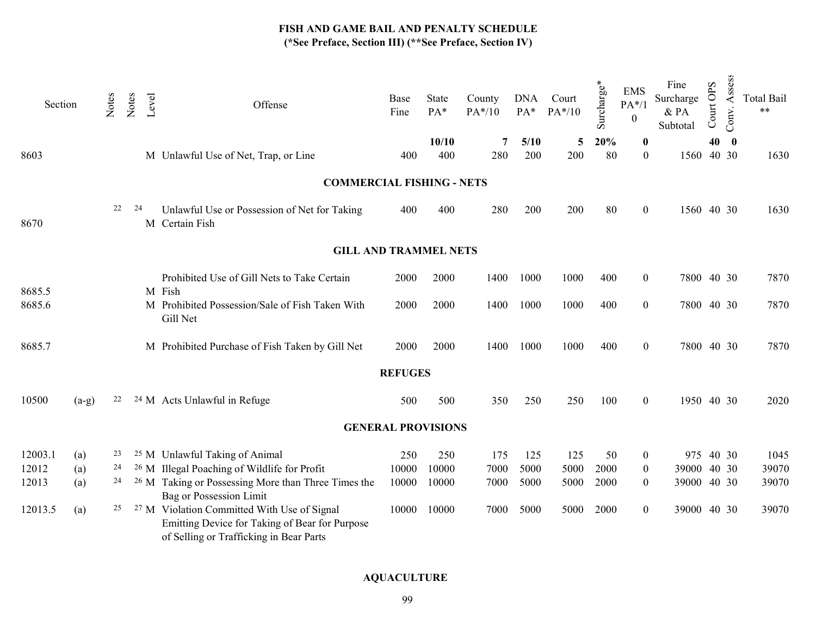| Section |         | Notes | Notes | Level | Offense                                                                                                                                             | Base<br>Fine   | <b>State</b><br>PA* | County<br>PA*/10 | <b>DNA</b><br>$PA*$ | Court<br>$PA*/10$ | Surcharge* | <b>EMS</b><br>$PA*/1$<br>$\mathbf{0}$ | Fine<br>Surcharge<br>& PA<br>Subtotal | Court OPS | Assess<br>Conv. | <b>Total Bail</b><br>$***$ |
|---------|---------|-------|-------|-------|-----------------------------------------------------------------------------------------------------------------------------------------------------|----------------|---------------------|------------------|---------------------|-------------------|------------|---------------------------------------|---------------------------------------|-----------|-----------------|----------------------------|
| 8603    |         |       |       |       | M Unlawful Use of Net, Trap, or Line                                                                                                                | 400            | 10/10<br>400        | 7<br>280         | 5/10<br>200         | 5<br>200          | 20%<br>80  | $\bf{0}$<br>$\overline{0}$            | 1560 40 30                            | 40        | $\mathbf{0}$    | 1630                       |
|         |         |       |       |       |                                                                                                                                                     |                |                     |                  |                     |                   |            |                                       |                                       |           |                 |                            |
|         |         |       |       |       | <b>COMMERCIAL FISHING - NETS</b>                                                                                                                    |                |                     |                  |                     |                   |            |                                       |                                       |           |                 |                            |
| 8670    |         | 22    | 24    |       | Unlawful Use or Possession of Net for Taking<br>M Certain Fish                                                                                      | 400            | 400                 | 280              | 200                 | 200               | 80         | $\theta$                              | 1560 40 30                            |           |                 | 1630                       |
|         |         |       |       |       | <b>GILL AND TRAMMEL NETS</b>                                                                                                                        |                |                     |                  |                     |                   |            |                                       |                                       |           |                 |                            |
| 8685.5  |         |       |       |       | Prohibited Use of Gill Nets to Take Certain<br>M Fish                                                                                               | 2000           | 2000                | 1400             | 1000                | 1000              | 400        | $\boldsymbol{0}$                      | 7800 40 30                            |           |                 | 7870                       |
| 8685.6  |         |       |       |       | M Prohibited Possession/Sale of Fish Taken With<br>Gill Net                                                                                         | 2000           | 2000                | 1400             | 1000                | 1000              | 400        | $\mathbf{0}$                          | 7800 40 30                            |           |                 | 7870                       |
| 8685.7  |         |       |       |       | M Prohibited Purchase of Fish Taken by Gill Net                                                                                                     | 2000           | 2000                | 1400             | 1000                | 1000              | 400        | $\overline{0}$                        | 7800 40 30                            |           |                 | 7870                       |
|         |         |       |       |       |                                                                                                                                                     | <b>REFUGES</b> |                     |                  |                     |                   |            |                                       |                                       |           |                 |                            |
| 10500   | $(a-g)$ | 22    |       |       | <sup>24</sup> M Acts Unlawful in Refuge                                                                                                             | 500            | 500                 | 350              | 250                 | 250               | 100        | $\overline{0}$                        | 1950 40 30                            |           |                 | 2020                       |
|         |         |       |       |       | <b>GENERAL PROVISIONS</b>                                                                                                                           |                |                     |                  |                     |                   |            |                                       |                                       |           |                 |                            |
| 12003.1 | (a)     | 23    |       |       | <sup>25</sup> M Unlawful Taking of Animal                                                                                                           | 250            | 250                 | 175              | 125                 | 125               | 50         | $\mathbf{0}$                          | 975 40 30                             |           |                 | 1045                       |
| 12012   | (a)     | 24    |       |       | <sup>26</sup> M Illegal Poaching of Wildlife for Profit                                                                                             | 10000          | 10000               | 7000             | 5000                | 5000              | 2000       | $\boldsymbol{0}$                      | 39000 40 30                           |           |                 | 39070                      |
| 12013   | (a)     | 24    |       |       | <sup>26</sup> M Taking or Possessing More than Three Times the<br><b>Bag or Possession Limit</b>                                                    | 10000          | 10000               | 7000             | 5000                | 5000              | 2000       | $\overline{0}$                        | 39000 40 30                           |           |                 | 39070                      |
| 12013.5 | (a)     | 25    |       |       | <sup>27</sup> M Violation Committed With Use of Signal<br>Emitting Device for Taking of Bear for Purpose<br>of Selling or Trafficking in Bear Parts | 10000          | 10000               | 7000             | 5000                | 5000              | 2000       | $\overline{0}$                        | 39000 40 30                           |           |                 | 39070                      |

# AQUACULTURE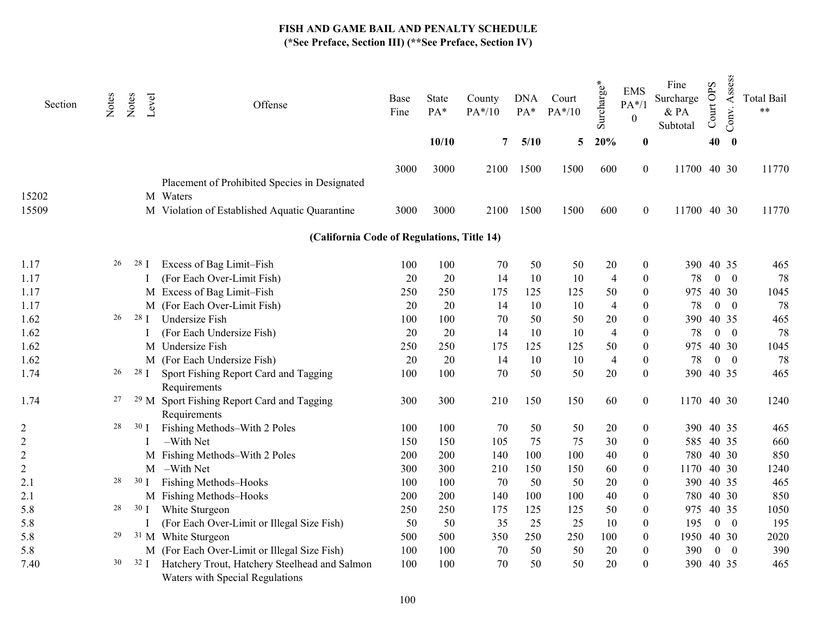| Section        | Notes | Notes           | Level<br>Offense                                                                 | Base<br>Fine | State<br>PA* | County<br>PA*/10 | <b>DNA</b><br>$PA*$ | Court<br>PA*/10 | Surcharge*     | <b>EMS</b><br>$PA*/1$<br>$\boldsymbol{0}$ | Fine<br>Surcharge<br>& PA<br>Subtotal | Court OPS | Assess<br>Conv. | <b>Total Bail</b><br>$\star\star$ |
|----------------|-------|-----------------|----------------------------------------------------------------------------------|--------------|--------------|------------------|---------------------|-----------------|----------------|-------------------------------------------|---------------------------------------|-----------|-----------------|-----------------------------------|
|                |       |                 |                                                                                  |              | 10/10        | 7                | 5/10                | 5               | 20%            | $\bf{0}$                                  |                                       | 40        | $\bf{0}$        |                                   |
| 15202          |       |                 | Placement of Prohibited Species in Designated<br>M Waters                        | 3000         | 3000         | 2100             | 1500                | 1500            | 600            | $\boldsymbol{0}$                          | 11700 40 30                           |           |                 | 11770                             |
| 15509          |       |                 | M Violation of Established Aquatic Quarantine                                    | 3000         | 3000         | 2100             | 1500                | 1500            | 600            | $\boldsymbol{0}$                          | 11700 40 30                           |           |                 | 11770                             |
|                |       |                 | (California Code of Regulations, Title 14)                                       |              |              |                  |                     |                 |                |                                           |                                       |           |                 |                                   |
|                |       |                 |                                                                                  |              |              |                  |                     |                 |                |                                           |                                       |           |                 |                                   |
| 1.17           | 26    | 28 <sub>1</sub> | Excess of Bag Limit-Fish                                                         | 100          | 100          | 70               | 50                  | 50              | 20             | $\boldsymbol{0}$                          |                                       | 390 40 35 |                 | 465                               |
| 1.17           |       |                 | (For Each Over-Limit Fish)                                                       | 20           | 20           | 14               | 10                  | 10              | $\overline{4}$ | $\boldsymbol{0}$                          | 78                                    |           | $0 \quad 0$     | 78                                |
| 1.17           |       |                 | M Excess of Bag Limit-Fish                                                       | 250          | 250          | 175              | 125                 | 125             | 50             | $\boldsymbol{0}$                          | 975                                   |           | 40 30           | 1045                              |
| 1.17           |       |                 | M (For Each Over-Limit Fish)                                                     | 20           | 20           | 14               | 10                  | 10              | $\overline{4}$ | $\boldsymbol{0}$                          | 78                                    |           | $0 \quad 0$     | 78                                |
| 1.62           | 26    | 28 <sub>1</sub> | Undersize Fish                                                                   | 100          | 100          | 70               | 50                  | 50              | 20             | $\boldsymbol{0}$                          | 390                                   |           | 40 35           | 465                               |
| 1.62           |       |                 | (For Each Undersize Fish)                                                        | 20           | 20           | 14               | 10                  | 10              | $\overline{4}$ | $\boldsymbol{0}$                          | 78                                    |           | $0 \quad 0$     | 78                                |
| 1.62           |       |                 | M Undersize Fish                                                                 | 250          | 250          | 175              | 125                 | 125             | 50             | $\boldsymbol{0}$                          | 975                                   |           | 40 30           | 1045                              |
| 1.62           |       |                 | M (For Each Undersize Fish)                                                      | 20           | 20           | 14               | 10                  | 10              | $\overline{4}$ | $\boldsymbol{0}$                          | 78                                    |           | $0 \quad 0$     | 78                                |
| 1.74           | 26    | $28$ I          | Sport Fishing Report Card and Tagging<br>Requirements                            | 100          | 100          | 70               | 50                  | 50              | $20\,$         | $\boldsymbol{0}$                          | 390 40 35                             |           |                 | 465                               |
| 1.74           | 27    |                 | <sup>29</sup> M Sport Fishing Report Card and Tagging<br>Requirements            | 300          | 300          | 210              | 150                 | 150             | 60             | $\boldsymbol{0}$                          | 1170 40 30                            |           |                 | 1240                              |
| $\overline{c}$ | 28    | 30 <sub>1</sub> | Fishing Methods-With 2 Poles                                                     | 100          | 100          | 70               | 50                  | 50              | 20             | $\boldsymbol{0}$                          | 390 40 35                             |           |                 | 465                               |
| $\mathbf{2}$   |       |                 | -With Net                                                                        | 150          | 150          | 105              | 75                  | 75              | 30             | $\boldsymbol{0}$                          | 585 40 35                             |           |                 | 660                               |
| $\mathbf{2}$   |       |                 | M Fishing Methods-With 2 Poles                                                   | 200          | 200          | 140              | 100                 | 100             | 40             | $\boldsymbol{0}$                          |                                       | 780 40 30 |                 | 850                               |
| $\mathbf{2}$   |       |                 | M -With Net                                                                      | 300          | 300          | 210              | 150                 | 150             | 60             | $\boldsymbol{0}$                          | 1170 40 30                            |           |                 | 1240                              |
| 2.1            | 28    | 30 <sub>l</sub> | <b>Fishing Methods-Hooks</b>                                                     | 100          | 100          | 70               | 50                  | 50              | 20             | $\boldsymbol{0}$                          |                                       | 390 40 35 |                 | 465                               |
| 2.1            |       |                 | M Fishing Methods-Hooks                                                          | 200          | 200          | 140              | 100                 | 100             | 40             | $\boldsymbol{0}$                          | 780 40 30                             |           |                 | 850                               |
| 5.8            | 28    | 30 <sub>1</sub> | White Sturgeon                                                                   | 250          | 250          | 175              | 125                 | 125             | 50             | $\boldsymbol{0}$                          | 975                                   |           | 40 35           | 1050                              |
| 5.8            |       |                 | (For Each Over-Limit or Illegal Size Fish)                                       | 50           | 50           | 35               | 25                  | 25              | 10             | $\boldsymbol{0}$                          | 195                                   |           | $0 \quad 0$     | 195                               |
| 5.8            | 29    |                 | <sup>31</sup> M White Sturgeon                                                   | 500          | 500          | 350              | 250                 | 250             | 100            | $\boldsymbol{0}$                          | 1950 40 30                            |           |                 | 2020                              |
| 5.8            |       |                 | M (For Each Over-Limit or Illegal Size Fish)                                     | 100          | 100          | 70               | 50                  | 50              | 20             | $\boldsymbol{0}$                          | 390                                   |           | $0 \quad 0$     | 390                               |
| 7.40           | 30    | 32 J            | Hatchery Trout, Hatchery Steelhead and Salmon<br>Waters with Special Regulations | 100          | 100          | 70               | 50                  | 50              | 20             | $\boldsymbol{0}$                          | 390 40 35                             |           |                 | 465                               |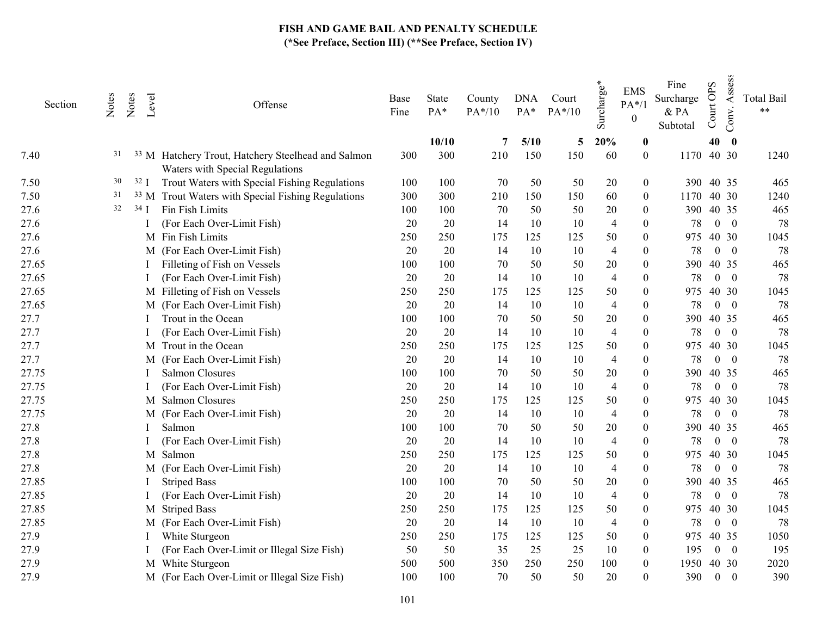| Section | Notes | Notes          | Level<br>Offense                                                                                 | Base<br>Fine | State<br>PA* | County<br>$PA*/10$ | <b>DNA</b><br>$PA*$ | Court<br>$PA*/10$ | $\mathbf{v}^*$<br>Surcharge | <b>EMS</b><br>$PA*/1$<br>$\boldsymbol{0}$ | Fine<br>Surcharge<br>$\&$ PA<br>Subtotal | <b>OPS</b><br>Court | Assess<br>Conv.          | <b>Total Bail</b><br>$\star\star$ |
|---------|-------|----------------|--------------------------------------------------------------------------------------------------|--------------|--------------|--------------------|---------------------|-------------------|-----------------------------|-------------------------------------------|------------------------------------------|---------------------|--------------------------|-----------------------------------|
|         |       |                |                                                                                                  |              | 10/10        | 7                  | 5/10                | 5                 | 20%                         | $\boldsymbol{0}$                          |                                          | 40                  | $\bf{0}$                 |                                   |
| 7.40    | 31    |                | <sup>33</sup> M Hatchery Trout, Hatchery Steelhead and Salmon<br>Waters with Special Regulations | 300          | 300          | 210                | 150                 | 150               | 60                          | $\theta$                                  | 1170 40 30                               |                     |                          | 1240                              |
| 7.50    | 30    | $32 \text{ J}$ | Trout Waters with Special Fishing Regulations                                                    | 100          | 100          | 70                 | 50                  | 50                | 20                          | $\overline{0}$                            |                                          | 390 40 35           |                          | 465                               |
| 7.50    | 31    |                | <sup>33</sup> M Trout Waters with Special Fishing Regulations                                    | 300          | 300          | 210                | 150                 | 150               | 60                          | $\boldsymbol{0}$                          | 1170                                     | 40 30               |                          | 1240                              |
| 27.6    | 32    | $34$ I         | Fin Fish Limits                                                                                  | 100          | 100          | 70                 | 50                  | 50                | 20                          | $\mathbf{0}$                              | 390                                      | 40 35               |                          | 465                               |
| 27.6    |       |                | (For Each Over-Limit Fish)                                                                       | 20           | 20           | 14                 | 10                  | 10                | $\overline{4}$              | $\bf{0}$                                  | 78                                       |                     | $0\quad 0$               | 78                                |
| 27.6    |       |                | M Fin Fish Limits                                                                                | 250          | 250          | 175                | 125                 | 125               | 50                          | $\mathbf{0}$                              | 975                                      | 40 30               |                          | 1045                              |
| 27.6    |       |                | M (For Each Over-Limit Fish)                                                                     | 20           | 20           | 14                 | 10                  | 10                | $\overline{4}$              | $\theta$                                  | 78                                       |                     | $0 \quad 0$              | 78                                |
| 27.65   |       |                | Filleting of Fish on Vessels                                                                     | 100          | 100          | 70                 | 50                  | 50                | 20                          | 0                                         | 390                                      | 40 35               |                          | 465                               |
| 27.65   |       |                | (For Each Over-Limit Fish)                                                                       | 20           | 20           | 14                 | 10                  | 10                | $\overline{4}$              | $\theta$                                  | 78                                       |                     | $0 \quad 0$              | 78                                |
| 27.65   |       |                | M Filleting of Fish on Vessels                                                                   | 250          | 250          | 175                | 125                 | 125               | 50                          | $\theta$                                  | 975                                      | 40 30               |                          | 1045                              |
| 27.65   |       |                | M (For Each Over-Limit Fish)                                                                     | 20           | 20           | 14                 | 10                  | 10                | $\overline{4}$              | $\Omega$                                  | 78                                       |                     | $0 \quad 0$              | 78                                |
| 27.7    |       |                | Trout in the Ocean                                                                               | 100          | 100          | 70                 | 50                  | 50                | 20                          | $\theta$                                  | 390                                      | 40 35               |                          | 465                               |
| 27.7    |       |                | (For Each Over-Limit Fish)                                                                       | 20           | 20           | 14                 | 10                  | 10                | $\overline{4}$              | 0                                         | 78                                       |                     | $0 \quad 0$              | 78                                |
| 27.7    |       |                | M Trout in the Ocean                                                                             | 250          | 250          | 175                | 125                 | 125               | 50                          | $\theta$                                  | 975                                      | 40 30               |                          | 1045                              |
| 27.7    |       |                | M (For Each Over-Limit Fish)                                                                     | 20           | 20           | 14                 | 10                  | 10                | $\overline{4}$              | $\theta$                                  | 78                                       | $\overline{0}$      | $\overline{\phantom{0}}$ | 78                                |
| 27.75   |       |                | Salmon Closures                                                                                  | 100          | 100          | 70                 | 50                  | 50                | 20                          | $\theta$                                  | 390                                      | 40 35               |                          | 465                               |
| 27.75   |       |                | (For Each Over-Limit Fish)                                                                       | 20           | 20           | 14                 | 10                  | 10                | $\overline{4}$              | $\theta$                                  | 78                                       |                     | $0 \quad 0$              | 78                                |
| 27.75   |       |                | M Salmon Closures                                                                                | 250          | 250          | 175                | 125                 | 125               | 50                          | $\theta$                                  | 975                                      | 40 30               |                          | 1045                              |
| 27.75   |       |                | M (For Each Over-Limit Fish)                                                                     | 20           | 20           | 14                 | 10                  | 10                | $\overline{4}$              | $\Omega$                                  | 78                                       |                     | $0 \quad 0$              | 78                                |
| 27.8    |       |                | Salmon                                                                                           | 100          | 100          | 70                 | 50                  | 50                | 20                          | $\theta$                                  | 390                                      | 40 35               |                          | 465                               |
| 27.8    |       |                | (For Each Over-Limit Fish)                                                                       | 20           | 20           | 14                 | 10                  | 10                | $\overline{4}$              | $\theta$                                  | 78                                       |                     | $0 \quad 0$              | 78                                |
| 27.8    |       |                | M Salmon                                                                                         | 250          | 250          | 175                | 125                 | 125               | 50                          | $\theta$                                  | 975                                      | 40 30               |                          | 1045                              |
| 27.8    |       |                | M (For Each Over-Limit Fish)                                                                     | 20           | 20           | 14                 | 10                  | 10                | $\overline{4}$              | $\theta$                                  | 78                                       |                     | $0 \quad 0$              | 78                                |
| 27.85   |       |                | <b>Striped Bass</b>                                                                              | 100          | 100          | 70                 | 50                  | 50                | 20                          | $\theta$                                  | 390                                      | 40 35               |                          | 465                               |
| 27.85   |       |                | (For Each Over-Limit Fish)                                                                       | 20           | 20           | 14                 | 10                  | 10                | $\overline{4}$              | $\theta$                                  | 78                                       |                     | $0 \quad 0$              | 78                                |
| 27.85   |       |                | M Striped Bass                                                                                   | 250          | 250          | 175                | 125                 | 125               | 50                          | $\theta$                                  | 975                                      | 40 30               |                          | 1045                              |
| 27.85   |       |                | M (For Each Over-Limit Fish)                                                                     | $20\,$       | 20           | 14                 | 10                  | 10                | $\overline{4}$              | 0                                         | 78                                       |                     | $0 \quad 0$              | 78                                |
| 27.9    |       |                | White Sturgeon                                                                                   | 250          | 250          | 175                | 125                 | 125               | 50                          | $\theta$                                  | 975                                      | 40 35               |                          | 1050                              |
| 27.9    |       |                | (For Each Over-Limit or Illegal Size Fish)                                                       | 50           | 50           | 35                 | 25                  | 25                | 10                          | $\theta$                                  | 195                                      |                     | $0 \quad 0$              | 195                               |
| 27.9    |       |                | M White Sturgeon                                                                                 | 500          | 500          | 350                | 250                 | 250               | 100                         | $\mathbf{0}$                              | 1950                                     | 40 30               |                          | 2020                              |
| 27.9    |       |                | M (For Each Over-Limit or Illegal Size Fish)                                                     | 100          | 100          | 70                 | 50                  | 50                | 20                          | $\theta$                                  | 390                                      | $\overline{0}$      | $\overline{0}$           | 390                               |
|         |       |                |                                                                                                  |              |              |                    |                     |                   |                             |                                           |                                          |                     |                          |                                   |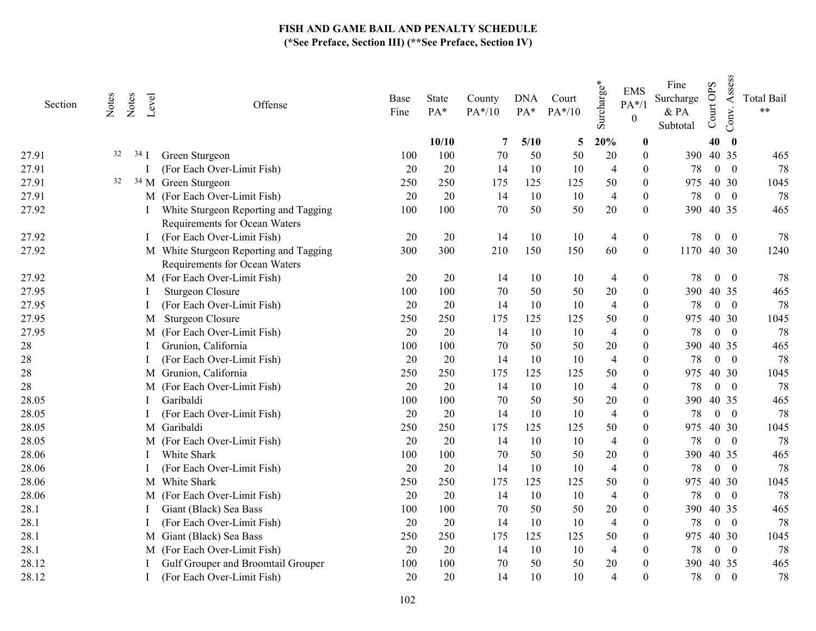| Section | Notes | Notes | Level  | Offense                                                                 | Base<br>Fine | <b>State</b><br>PA* | County<br>PA*/10 | <b>DNA</b><br>PA* | Court<br>$PA*/10$ | Surcharge*     | <b>EMS</b><br>$PA*/1$<br>$\boldsymbol{0}$ | Fine<br>Surcharge<br>& PA<br>Subtotal | <b>OPS</b><br>Court | Assess<br>Conv.          | <b>Total Bail</b><br>$\star\star$ |
|---------|-------|-------|--------|-------------------------------------------------------------------------|--------------|---------------------|------------------|-------------------|-------------------|----------------|-------------------------------------------|---------------------------------------|---------------------|--------------------------|-----------------------------------|
|         |       |       |        |                                                                         |              | 10/10               | 7                | 5/10              | 5                 | 20%            | $\boldsymbol{0}$                          |                                       | 40                  | $\bf{0}$                 |                                   |
| 27.91   | 32    |       | $34$ J | Green Sturgeon                                                          | 100          | 100                 | 70               | 50                | 50                | 20             | $\boldsymbol{0}$                          |                                       | 390 40 35           |                          | 465                               |
| 27.91   |       |       |        | (For Each Over-Limit Fish)                                              | 20           | 20                  | 14               | 10                | 10                | $\overline{4}$ | $\Omega$                                  | 78                                    |                     | $0\quad 0$               | 78                                |
| 27.91   | 32    |       |        | <sup>34</sup> M Green Sturgeon                                          | 250          | 250                 | 175              | 125               | 125               | 50             | $\boldsymbol{0}$                          | 975                                   |                     | 40 30                    | 1045                              |
| 27.91   |       |       |        | M (For Each Over-Limit Fish)                                            | 20           | 20                  | 14               | 10                | 10                | $\overline{4}$ | $\boldsymbol{0}$                          | 78                                    |                     | $0 \quad 0$              | 78                                |
| 27.92   |       |       |        | White Sturgeon Reporting and Tagging<br>Requirements for Ocean Waters   | 100          | 100                 | 70               | 50                | 50                | $20\,$         | $\boldsymbol{0}$                          | 390                                   |                     | 40 35                    | 465                               |
| 27.92   |       |       |        | (For Each Over-Limit Fish)                                              | 20           | 20                  | 14               | 10                | 10                | $\overline{4}$ | $\boldsymbol{0}$                          | 78                                    | $\overline{0}$      | $\overline{\mathbf{0}}$  | 78                                |
| 27.92   |       |       |        | M White Sturgeon Reporting and Tagging<br>Requirements for Ocean Waters | 300          | 300                 | 210              | 150               | 150               | 60             | $\boldsymbol{0}$                          | 1170                                  |                     | 40 30                    | 1240                              |
| 27.92   |       |       |        | M (For Each Over-Limit Fish)                                            | 20           | 20                  | 14               | 10                | 10                | 4              | $\boldsymbol{0}$                          | 78                                    | $\boldsymbol{0}$    | $\boldsymbol{0}$         | 78                                |
| 27.95   |       |       |        | <b>Sturgeon Closure</b>                                                 | 100          | 100                 | 70               | 50                | 50                | 20             | $\boldsymbol{0}$                          | 390                                   |                     | 40 35                    | 465                               |
| 27.95   |       |       |        | (For Each Over-Limit Fish)                                              | 20           | 20                  | 14               | 10                | 10                | $\overline{4}$ | 0                                         | 78                                    |                     | $0 \quad 0$              | 78                                |
| 27.95   |       |       | M      | <b>Sturgeon Closure</b>                                                 | 250          | 250                 | 175              | 125               | 125               | 50             | $\theta$                                  | 975                                   |                     | 40 30                    | 1045                              |
| 27.95   |       |       |        | M (For Each Over-Limit Fish)                                            | 20           | 20                  | 14               | 10                | 10                | $\overline{4}$ | $\theta$                                  | 78                                    |                     | $0 \quad 0$              | 78                                |
| 28      |       |       |        | Grunion, California                                                     | 100          | 100                 | 70               | 50                | 50                | 20             | 0                                         | 390                                   |                     | 40 35                    | 465                               |
| 28      |       |       |        | (For Each Over-Limit Fish)                                              | 20           | 20                  | 14               | 10                | 10                | $\overline{4}$ | $\theta$                                  | 78                                    |                     | $0 \quad 0$              | 78                                |
| 28      |       |       |        | M Grunion, California                                                   | 250          | 250                 | 175              | 125               | 125               | 50             | $\Omega$                                  | 975                                   |                     | 40 30                    | 1045                              |
| 28      |       |       |        | M (For Each Over-Limit Fish)                                            | 20           | 20                  | 14               | 10                | 10                | $\overline{4}$ | $\theta$                                  | 78                                    |                     | $0 \quad 0$              | 78                                |
| 28.05   |       |       |        | Garibaldi                                                               | 100          | 100                 | 70               | 50                | 50                | 20             | $\theta$                                  | 390                                   |                     | 40 35                    | 465                               |
| 28.05   |       |       |        | (For Each Over-Limit Fish)                                              | 20           | 20                  | 14               | 10                | 10                | $\overline{4}$ | $\theta$                                  | 78                                    |                     | $0 \quad 0$              | 78                                |
| 28.05   |       |       |        | M Garibaldi                                                             | 250          | 250                 | 175              | 125               | 125               | 50             | $\theta$                                  | 975                                   |                     | 40 30                    | 1045                              |
| 28.05   |       |       |        | M (For Each Over-Limit Fish)                                            | 20           | 20                  | 14               | 10                | 10                | $\overline{4}$ | $\boldsymbol{0}$                          | 78                                    |                     | $0 \quad 0$              | 78                                |
| 28.06   |       |       |        | White Shark                                                             | 100          | 100                 | 70               | 50                | 50                | 20             | $\theta$                                  | 390                                   |                     | 40 35                    | 465                               |
| 28.06   |       |       |        | (For Each Over-Limit Fish)                                              | $20\,$       | 20                  | 14               | 10                | 10                | $\overline{4}$ | $\Omega$                                  | 78                                    |                     | $0 \quad 0$              | 78                                |
| 28.06   |       |       |        | M White Shark                                                           | 250          | 250                 | 175              | 125               | 125               | 50             | $\theta$                                  | 975                                   |                     | 40 30                    | 1045                              |
| 28.06   |       |       |        | M (For Each Over-Limit Fish)                                            | 20           | 20                  | 14               | 10                | 10                | $\overline{4}$ | $\Omega$                                  | 78                                    | $\overline{0}$      | $\overline{\phantom{0}}$ | 78                                |
| 28.1    |       |       |        | Giant (Black) Sea Bass                                                  | 100          | 100                 | 70               | 50                | 50                | 20             | $\theta$                                  | 390                                   |                     | 40 35                    | 465                               |
| 28.1    |       |       |        | (For Each Over-Limit Fish)                                              | 20           | 20                  | 14               | 10                | 10                | $\overline{4}$ | $\theta$                                  | 78                                    |                     | $0 \quad 0$              | 78                                |
| 28.1    |       |       |        | M Giant (Black) Sea Bass                                                | 250          | 250                 | 175              | 125               | 125               | 50             | $\Omega$                                  | 975                                   |                     | 40 30                    | 1045                              |
| 28.1    |       |       |        | M (For Each Over-Limit Fish)                                            | 20           | 20                  | 14               | 10                | 10                | $\overline{4}$ | $\theta$                                  | 78                                    | $\overline{0}$      | $\overline{\phantom{0}}$ | 78                                |
| 28.12   |       |       |        | Gulf Grouper and Broomtail Grouper                                      | 100          | 100                 | 70               | 50                | 50                | $20\,$         | $\Omega$                                  | 390                                   |                     | 40 35                    | 465                               |
| 28.12   |       |       |        | (For Each Over-Limit Fish)                                              | 20           | 20                  | 14               | 10                | 10                | $\overline{4}$ | $\theta$                                  | 78                                    | $\boldsymbol{0}$    | $\boldsymbol{0}$         | 78                                |
|         |       |       |        |                                                                         |              |                     |                  |                   |                   |                |                                           |                                       |                     |                          |                                   |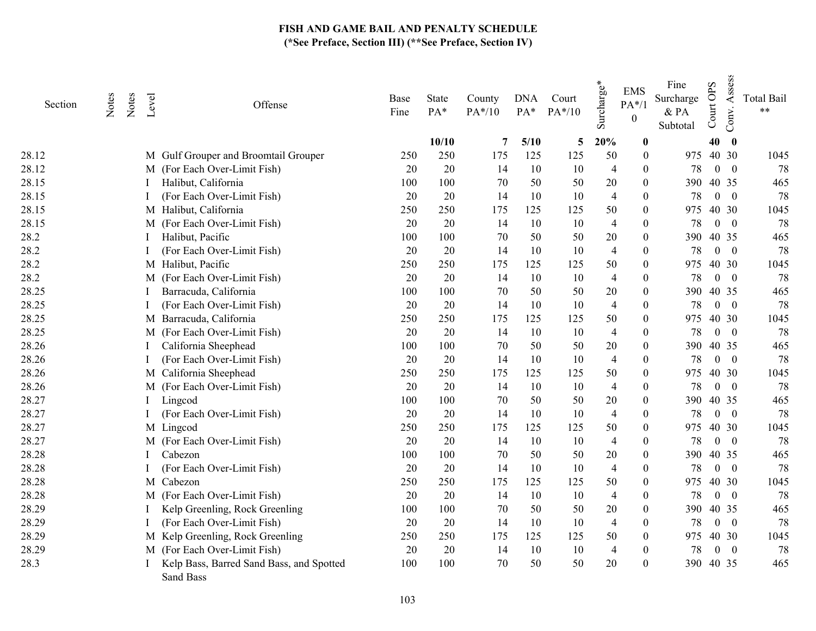| Section | Notes | Notes | Level | Offense                                               | Base<br>Fine | State<br>PA* | County<br>PA*/10 | <b>DNA</b><br>PA* | Court<br>$PA*/10$ | $\mathbf{v}^*$<br>Surcharge | <b>EMS</b><br>$PA*/1$<br>$\theta$ | Fine<br>Surcharge<br>& PA<br>Subtotal | <b>OPS</b><br>Court | Assess<br>Conv.          | <b>Total Bail</b><br>$***$ |
|---------|-------|-------|-------|-------------------------------------------------------|--------------|--------------|------------------|-------------------|-------------------|-----------------------------|-----------------------------------|---------------------------------------|---------------------|--------------------------|----------------------------|
|         |       |       |       |                                                       |              | 10/10        | 7                | 5/10              | 5                 | 20%                         | $\boldsymbol{0}$                  |                                       | 40                  | $\bf{0}$                 |                            |
| 28.12   |       |       |       | M Gulf Grouper and Broomtail Grouper                  | 250          | 250          | 175              | 125               | 125               | 50                          | $\boldsymbol{0}$                  |                                       | 975 40 30           |                          | 1045                       |
| 28.12   |       |       |       | M (For Each Over-Limit Fish)                          | 20           | 20           | 14               | 10                | 10                | 4                           | $\theta$                          | 78                                    | $\overline{0}$      | $\bf{0}$                 | 78                         |
| 28.15   |       |       |       | Halibut, California                                   | 100          | 100          | 70               | 50                | 50                | 20                          | $\theta$                          | 390                                   |                     | 40 35                    | 465                        |
| 28.15   |       |       |       | (For Each Over-Limit Fish)                            | 20           | 20           | 14               | 10                | 10                | $\overline{4}$              | $\theta$                          | 78                                    |                     | $0 \quad 0$              | 78                         |
| 28.15   |       |       |       | M Halibut, California                                 | 250          | 250          | 175              | 125               | 125               | 50                          | $\theta$                          | 975                                   |                     | 40 30                    | 1045                       |
| 28.15   |       |       |       | M (For Each Over-Limit Fish)                          | 20           | 20           | 14               | 10                | 10                | $\overline{4}$              | $\theta$                          | 78                                    | $\mathbf{0}$        | $\overline{\mathbf{0}}$  | 78                         |
| 28.2    |       |       |       | Halibut, Pacific                                      | 100          | 100          | 70               | 50                | 50                | 20                          | $\theta$                          | 390                                   |                     | 40 35                    | 465                        |
| 28.2    |       |       |       | (For Each Over-Limit Fish)                            | 20           | 20           | 14               | 10                | 10                | $\overline{4}$              | $\Omega$                          | 78                                    |                     | $0 \quad 0$              | 78                         |
| 28.2    |       |       |       | M Halibut, Pacific                                    | 250          | 250          | 175              | 125               | 125               | 50                          | $\theta$                          | 975                                   |                     | 40 30                    | 1045                       |
| 28.2    |       |       |       | M (For Each Over-Limit Fish)                          | 20           | 20           | 14               | 10                | 10                | $\overline{4}$              | $\theta$                          | 78                                    |                     | $0 \quad 0$              | 78                         |
| 28.25   |       |       |       | Barracuda, California                                 | 100          | 100          | 70               | 50                | 50                | 20                          | $\theta$                          | 390                                   |                     | 40 35                    | 465                        |
| 28.25   |       |       |       | (For Each Over-Limit Fish)                            | 20           | 20           | 14               | 10                | 10                | $\overline{4}$              | $\theta$                          | 78                                    |                     | $0 \quad 0$              | 78                         |
| 28.25   |       |       |       | M Barracuda, California                               | 250          | 250          | 175              | 125               | 125               | 50                          | $\theta$                          | 975                                   |                     | 40 30                    | 1045                       |
| 28.25   |       |       | M     | (For Each Over-Limit Fish)                            | $20\,$       | 20           | 14               | 10                | 10                | $\overline{4}$              | $\theta$                          | 78                                    |                     | $0 \quad 0$              | 78                         |
| 28.26   |       |       |       | California Sheephead                                  | 100          | 100          | 70               | 50                | 50                | 20                          | $\theta$                          | 390                                   |                     | 40 35                    | 465                        |
| 28.26   |       |       |       | (For Each Over-Limit Fish)                            | $20\,$       | 20           | 14               | 10                | 10                | $\overline{4}$              | $\Omega$                          | 78                                    |                     | $0 \quad 0$              | 78                         |
| 28.26   |       |       |       | M California Sheephead                                | 250          | 250          | 175              | 125               | 125               | 50                          | $\boldsymbol{0}$                  | 975                                   |                     | 40 30                    | 1045                       |
| 28.26   |       |       |       | M (For Each Over-Limit Fish)                          | 20           | 20           | 14               | 10                | 10                | $\overline{4}$              | $\theta$                          | 78                                    |                     | $0 \quad 0$              | 78                         |
| 28.27   |       |       |       | Lingcod                                               | 100          | 100          | 70               | 50                | 50                | 20                          | $\theta$                          |                                       | 390 40 35           |                          | 465                        |
| 28.27   |       |       |       | (For Each Over-Limit Fish)                            | 20           | 20           | 14               | 10                | 10                | $\overline{4}$              | $\theta$                          | 78                                    |                     | $0 \quad 0$              | 78                         |
| 28.27   |       |       |       | M Lingcod                                             | 250          | 250          | 175              | 125               | 125               | 50                          | $\theta$                          | 975                                   |                     | 40 30                    | 1045                       |
| 28.27   |       |       | M     | (For Each Over-Limit Fish)                            | 20           | 20           | 14               | 10                | 10                | $\overline{4}$              | $\theta$                          | 78                                    | $\overline{0}$      | $\overline{\phantom{0}}$ | 78                         |
| 28.28   |       |       |       | Cabezon                                               | 100          | 100          | 70               | 50                | 50                | 20                          | $\theta$                          |                                       | 390 40 35           |                          | 465                        |
| 28.28   |       |       |       | (For Each Over-Limit Fish)                            | $20\,$       | 20           | 14               | 10                | 10                | $\overline{4}$              | $\theta$                          | 78                                    |                     | $0 \quad 0$              | 78                         |
| 28.28   |       |       |       | M Cabezon                                             | 250          | 250          | 175              | 125               | 125               | 50                          | $\theta$                          | 975                                   |                     | 40 30                    | 1045                       |
| 28.28   |       |       |       | M (For Each Over-Limit Fish)                          | 20           | 20           | 14               | 10                | 10                | $\overline{4}$              | $\Omega$                          | 78                                    | $\overline{0}$      | $\overline{\phantom{0}}$ | 78                         |
| 28.29   |       |       |       | Kelp Greenling, Rock Greenling                        | 100          | 100          | 70               | 50                | 50                | 20                          | 0                                 | 390                                   | 40 35               |                          | 465                        |
| 28.29   |       |       |       | (For Each Over-Limit Fish)                            | 20           | 20           | 14               | 10                | 10                | $\overline{4}$              | $\theta$                          | 78                                    |                     | $0 \quad 0$              | 78                         |
| 28.29   |       |       |       | M Kelp Greenling, Rock Greenling                      | 250          | 250          | 175              | 125               | 125               | 50                          | $\boldsymbol{0}$                  | 975                                   |                     | 40 30                    | 1045                       |
| 28.29   |       |       |       | M (For Each Over-Limit Fish)                          | 20           | 20           | 14               | 10                | 10                | $\overline{4}$              | $\boldsymbol{0}$                  | 78                                    |                     | $0 \quad 0$              | 78                         |
| 28.3    |       |       |       | Kelp Bass, Barred Sand Bass, and Spotted<br>Sand Bass | 100          | 100          | 70               | 50                | 50                | 20                          | $\theta$                          |                                       | 390 40 35           |                          | 465                        |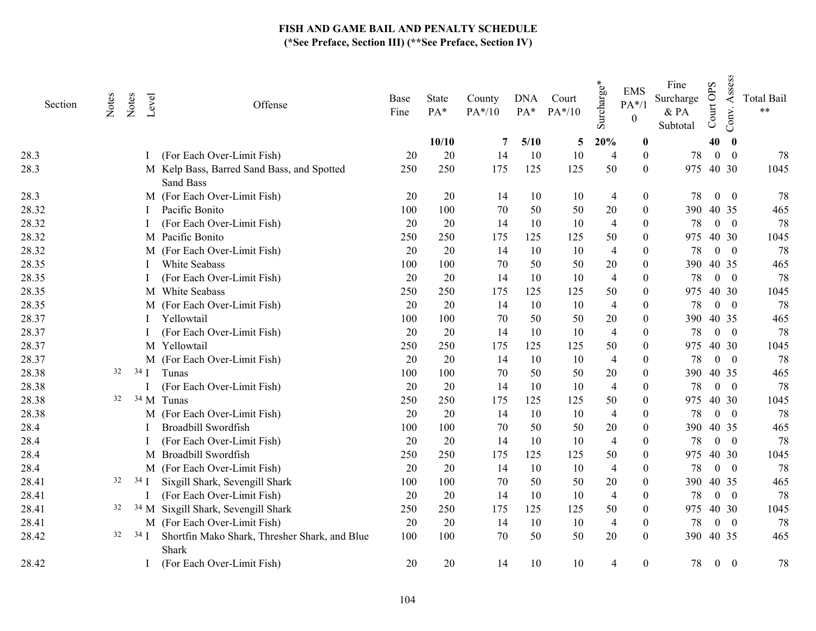| Section | Notes | Notes          | Level  | Offense                                                 | Base<br>Fine | State<br>PA* | County<br>PA*/10 | <b>DNA</b><br>PA* | Court<br>$PA*/10$ | Surcharge*     | <b>EMS</b><br>$PA*/1$<br>$\boldsymbol{0}$ | Fine<br>Surcharge<br>& PA<br>Subtotal | Court OPS        | Assess<br>Conv.          | <b>Total Bail</b><br>$***$ |
|---------|-------|----------------|--------|---------------------------------------------------------|--------------|--------------|------------------|-------------------|-------------------|----------------|-------------------------------------------|---------------------------------------|------------------|--------------------------|----------------------------|
|         |       |                |        |                                                         |              | 10/10        | 7                | 5/10              | 5                 | 20%            | $\bf{0}$                                  |                                       | 40               | $\bf{0}$                 |                            |
| 28.3    |       |                |        | (For Each Over-Limit Fish)                              | 20           | 20           | 14               | 10                | 10                | 4              | $\theta$                                  | 78                                    | $\overline{0}$   | $\overline{0}$           | 78                         |
| 28.3    |       |                |        | M Kelp Bass, Barred Sand Bass, and Spotted<br>Sand Bass | 250          | 250          | 175              | 125               | 125               | 50             | $\theta$                                  | 975                                   | 40 30            |                          | 1045                       |
| 28.3    |       |                |        | M (For Each Over-Limit Fish)                            | 20           | 20           | 14               | 10                | 10                | $\overline{4}$ | $\boldsymbol{0}$                          | 78                                    | $\boldsymbol{0}$ | $\bf{0}$                 | 78                         |
| 28.32   |       |                |        | Pacific Bonito                                          | 100          | 100          | 70               | 50                | 50                | 20             | $\mathbf{0}$                              |                                       | 390 40 35        |                          | 465                        |
| 28.32   |       |                |        | (For Each Over-Limit Fish)                              | 20           | 20           | 14               | 10                | 10                | 4              | $\theta$                                  | 78                                    |                  | $0 \quad 0$              | 78                         |
| 28.32   |       |                |        | M Pacific Bonito                                        | 250          | 250          | 175              | 125               | 125               | 50             | $\theta$                                  | 975                                   |                  | 40 30                    | 1045                       |
| 28.32   |       |                |        | M (For Each Over-Limit Fish)                            | 20           | 20           | 14               | 10                | 10                | 4              | $\theta$                                  | 78                                    | $\overline{0}$   | $\overline{\phantom{0}}$ | 78                         |
| 28.35   |       |                |        | White Seabass                                           | 100          | 100          | 70               | 50                | 50                | 20             | $\theta$                                  | 390                                   |                  | 40 35                    | 465                        |
| 28.35   |       |                |        | (For Each Over-Limit Fish)                              | 20           | 20           | 14               | 10                | 10                | 4              | 0                                         | 78                                    |                  | $0 \quad 0$              | 78                         |
| 28.35   |       |                |        | M White Seabass                                         | 250          | 250          | 175              | 125               | 125               | 50             | $\theta$                                  | 975                                   |                  | 40 30                    | 1045                       |
| 28.35   |       |                |        | M (For Each Over-Limit Fish)                            | 20           | 20           | 14               | 10                | 10                | $\overline{4}$ | $\Omega$                                  | 78                                    | $\overline{0}$   | $\overline{\mathbf{0}}$  | 78                         |
| 28.37   |       |                |        | Yellowtail                                              | 100          | 100          | 70               | 50                | 50                | 20             | $\theta$                                  | 390                                   |                  | 40 35                    | 465                        |
| 28.37   |       |                |        | (For Each Over-Limit Fish)                              | 20           | 20           | 14               | 10                | 10                | $\overline{4}$ | $\Omega$                                  | 78                                    |                  | $0 \quad 0$              | 78                         |
| 28.37   |       |                |        | M Yellowtail                                            | 250          | 250          | 175              | 125               | 125               | 50             | $\theta$                                  | 975                                   |                  | 40 30                    | 1045                       |
| 28.37   |       |                |        | M (For Each Over-Limit Fish)                            | 20           | 20           | 14               | 10                | 10                | $\overline{4}$ | $\theta$                                  | 78                                    |                  | $0 \quad 0$              | 78                         |
| 28.38   | 32    |                | $34$ I | Tunas                                                   | 100          | 100          | 70               | 50                | 50                | 20             | $\theta$                                  | 390                                   |                  | 40 35                    | 465                        |
| 28.38   |       |                |        | (For Each Over-Limit Fish)                              | 20           | 20           | 14               | 10                | 10                | $\overline{4}$ | $\theta$                                  | 78                                    |                  | $0 \quad 0$              | 78                         |
| 28.38   | 32    |                |        | <sup>34</sup> M Tunas                                   | 250          | 250          | 175              | 125               | 125               | 50             | $\theta$                                  | 975                                   |                  | 40 30                    | 1045                       |
| 28.38   |       |                |        | M (For Each Over-Limit Fish)                            | 20           | 20           | 14               | 10                | 10                | $\overline{4}$ | 0                                         | 78                                    |                  | $0 \quad 0$              | 78                         |
| 28.4    |       |                |        | Broadbill Swordfish                                     | 100          | 100          | 70               | 50                | 50                | 20             | $\Omega$                                  | 390                                   | 40 35            |                          | 465                        |
| 28.4    |       |                |        | (For Each Over-Limit Fish)                              | 20           | 20           | 14               | 10                | 10                | 4              | $\Omega$                                  | 78                                    |                  | $0 \quad 0$              | 78                         |
| 28.4    |       |                |        | M Broadbill Swordfish                                   | 250          | 250          | 175              | 125               | 125               | 50             | $\theta$                                  | 975                                   |                  | 40 30                    | 1045                       |
| 28.4    |       |                |        | M (For Each Over-Limit Fish)                            | 20           | 20           | 14               | 10                | 10                | 4              | $\Omega$                                  | 78                                    |                  | $0 \quad 0$              | 78                         |
| 28.41   | 32    |                | $34$ I | Sixgill Shark, Sevengill Shark                          | 100          | 100          | 70               | 50                | 50                | 20             | $\theta$                                  | 390                                   |                  | 40 35                    | 465                        |
| 28.41   |       |                |        | (For Each Over-Limit Fish)                              | 20           | 20           | 14               | 10                | 10                | 4              | $\theta$                                  | 78                                    |                  | $0 \quad 0$              | 78                         |
| 28.41   | 32    |                |        | <sup>34</sup> M Sixgill Shark, Sevengill Shark          | 250          | 250          | 175              | 125               | 125               | 50             | $\theta$                                  | 975                                   |                  | 40 30                    | 1045                       |
| 28.41   |       |                |        | M (For Each Over-Limit Fish)                            | 20           | 20           | 14               | 10                | 10                | $\overline{4}$ | $\theta$                                  | 78                                    |                  | $0 \quad 0$              | 78                         |
| 28.42   | 32    | $34 \text{ J}$ |        | Shortfin Mako Shark, Thresher Shark, and Blue<br>Shark  | 100          | 100          | 70               | 50                | 50                | 20             | $\mathbf{0}$                              | 390                                   | 40 35            |                          | 465                        |
| 28.42   |       |                |        | (For Each Over-Limit Fish)                              | 20           | 20           | 14               | 10                | 10                | 4              | $\mathbf{0}$                              | 78                                    | $\boldsymbol{0}$ | $\boldsymbol{0}$         | 78                         |
|         |       |                |        |                                                         |              |              |                  |                   |                   |                |                                           |                                       |                  |                          |                            |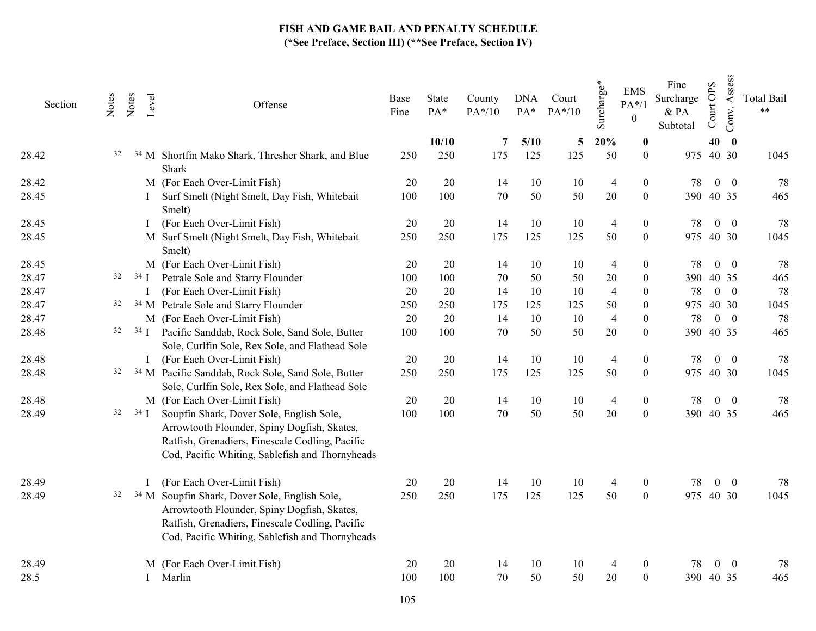| Section | Notes | Notes<br>Level | Offense                                                                                                                                                                                                       | Base<br>Fine | State<br>PA* | County<br>PA*/10 | <b>DNA</b><br>$PA*$ | Court<br>$PA*/10$ | Surcharge*     | <b>EMS</b><br>$PA*/1$<br>$\boldsymbol{0}$ | Fine<br>Surcharge<br>& PA<br>Subtotal | Court OPS | Assess<br>Conv. | <b>Total Bail</b><br>$\ast\ast$ |
|---------|-------|----------------|---------------------------------------------------------------------------------------------------------------------------------------------------------------------------------------------------------------|--------------|--------------|------------------|---------------------|-------------------|----------------|-------------------------------------------|---------------------------------------|-----------|-----------------|---------------------------------|
|         |       |                |                                                                                                                                                                                                               |              | 10/10        | 7                | 5/10                | 5                 | 20%            | $\boldsymbol{0}$                          |                                       | 40        | $\bf{0}$        |                                 |
| 28.42   | 32    |                | <sup>34</sup> M Shortfin Mako Shark, Thresher Shark, and Blue<br>Shark                                                                                                                                        | 250          | 250          | 175              | 125                 | 125               | 50             | $\boldsymbol{0}$                          | 975                                   | 40 30     |                 | 1045                            |
| 28.42   |       |                | M (For Each Over-Limit Fish)                                                                                                                                                                                  | 20           | 20           | 14               | 10                  | 10                | $\overline{4}$ | $\boldsymbol{0}$                          | 78                                    |           | $0\quad 0$      | 78                              |
| 28.45   |       |                | Surf Smelt (Night Smelt, Day Fish, Whitebait<br>Smelt)                                                                                                                                                        | 100          | 100          | $70\,$           | 50                  | 50                | 20             | $\boldsymbol{0}$                          | 390                                   |           | 40 35           | 465                             |
| 28.45   |       |                | (For Each Over-Limit Fish)                                                                                                                                                                                    | 20           | 20           | 14               | 10                  | 10                | $\overline{4}$ | $\boldsymbol{0}$                          | 78                                    |           | $0\quad 0$      | 78                              |
| 28.45   |       |                | M Surf Smelt (Night Smelt, Day Fish, Whitebait<br>Smelt)                                                                                                                                                      | 250          | 250          | 175              | 125                 | 125               | 50             | $\boldsymbol{0}$                          | 975                                   | 40 30     |                 | 1045                            |
| 28.45   |       |                | M (For Each Over-Limit Fish)                                                                                                                                                                                  | 20           | 20           | 14               | 10                  | 10                | $\overline{4}$ | $\boldsymbol{0}$                          | 78                                    |           | $0\quad 0$      | 78                              |
| 28.47   | 32    | $34$ I         | Petrale Sole and Starry Flounder                                                                                                                                                                              | 100          | 100          | 70               | 50                  | 50                | 20             | $\boldsymbol{0}$                          | 390                                   |           | 40 35           | 465                             |
| 28.47   |       |                | (For Each Over-Limit Fish)                                                                                                                                                                                    | 20           | 20           | 14               | 10                  | 10                | $\overline{4}$ | $\boldsymbol{0}$                          | 78                                    |           | $0 \quad 0$     | 78                              |
| 28.47   | 32    |                | <sup>34</sup> M Petrale Sole and Starry Flounder                                                                                                                                                              | 250          | 250          | 175              | 125                 | 125               | 50             | $\overline{0}$                            | 975                                   |           | 40 30           | 1045                            |
| 28.47   |       |                | M (For Each Over-Limit Fish)                                                                                                                                                                                  | 20           | 20           | 14               | 10                  | 10                | $\overline{4}$ | $\boldsymbol{0}$                          | 78                                    |           | $0\quad 0$      | 78                              |
| 28.48   | 32    | $34$ I         | Pacific Sanddab, Rock Sole, Sand Sole, Butter<br>Sole, Curlfin Sole, Rex Sole, and Flathead Sole                                                                                                              | 100          | 100          | 70               | 50                  | 50                | 20             | $\overline{0}$                            |                                       | 390 40 35 |                 | 465                             |
| 28.48   |       |                | (For Each Over-Limit Fish)                                                                                                                                                                                    | 20           | 20           | 14               | 10                  | 10                | $\overline{4}$ | $\boldsymbol{0}$                          | 78                                    |           | $0\quad 0$      | 78                              |
| 28.48   | 32    |                | <sup>34</sup> M Pacific Sanddab, Rock Sole, Sand Sole, Butter<br>Sole, Curlfin Sole, Rex Sole, and Flathead Sole                                                                                              | 250          | 250          | 175              | 125                 | 125               | 50             | $\boldsymbol{0}$                          | 975                                   |           | 40 30           | 1045                            |
| 28.48   |       |                | M (For Each Over-Limit Fish)                                                                                                                                                                                  | 20           | 20           | 14               | 10                  | 10                | $\overline{4}$ | $\boldsymbol{0}$                          | 78                                    |           | $0\quad 0$      | 78                              |
| 28.49   | 32    | $34$ I         | Soupfin Shark, Dover Sole, English Sole,<br>Arrowtooth Flounder, Spiny Dogfish, Skates,<br>Ratfish, Grenadiers, Finescale Codling, Pacific<br>Cod, Pacific Whiting, Sablefish and Thornyheads                 | 100          | 100          | 70               | 50                  | 50                | $20\,$         | $\mathbf{0}$                              |                                       | 390 40 35 |                 | 465                             |
| 28.49   |       |                | (For Each Over-Limit Fish)                                                                                                                                                                                    | 20           | 20           | 14               | 10                  | 10                | $\overline{4}$ | $\boldsymbol{0}$                          | 78                                    |           | $0\quad 0$      | 78                              |
| 28.49   | 32    |                | <sup>34</sup> M Soupfin Shark, Dover Sole, English Sole,<br>Arrowtooth Flounder, Spiny Dogfish, Skates,<br>Ratfish, Grenadiers, Finescale Codling, Pacific<br>Cod, Pacific Whiting, Sablefish and Thornyheads | 250          | 250          | 175              | 125                 | 125               | 50             | $\boldsymbol{0}$                          |                                       | 975 40 30 |                 | 1045                            |
| 28.49   |       |                | M (For Each Over-Limit Fish)                                                                                                                                                                                  | 20           | 20           | 14               | 10                  | 10                | 4              | $\mathbf{0}$                              | 78                                    |           | $0 \quad 0$     | 78                              |
| 28.5    |       |                | Marlin                                                                                                                                                                                                        | 100          | 100          | 70               | 50                  | 50                | 20             | $\boldsymbol{0}$                          |                                       | 390 40 35 |                 | 465                             |
|         |       |                |                                                                                                                                                                                                               |              |              |                  |                     |                   |                |                                           |                                       |           |                 |                                 |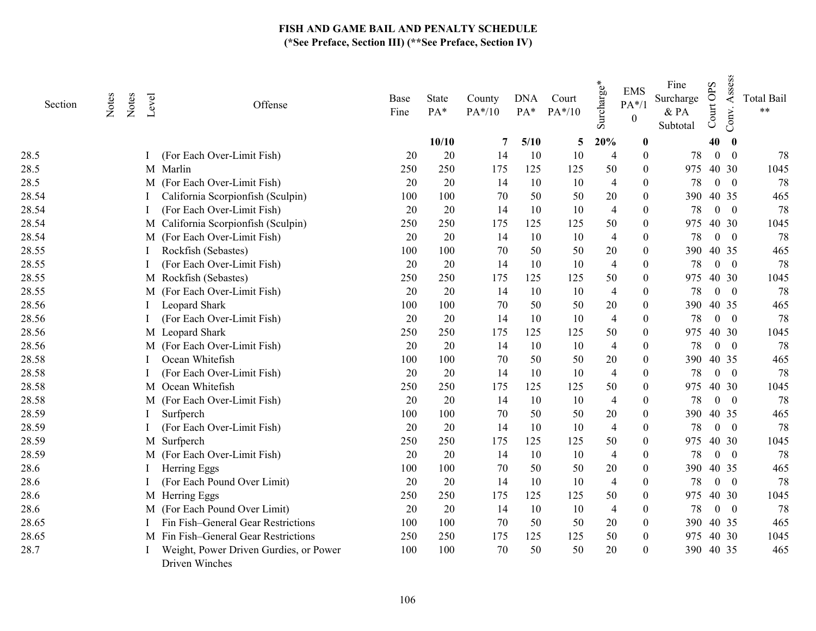| Section | Notes | Notes | Level | Offense                                                  | Base<br>Fine | State<br>PA* | County<br>$PA*/10$ | <b>DNA</b><br>PA* | Court<br>$PA*/10$ | Surcharge*     | <b>EMS</b><br>$PA*/1$<br>$\boldsymbol{0}$ | Fine<br>Surcharge<br>& PA<br>Subtotal | Court OPS        | Assess<br>Conv.          | <b>Total Bail</b><br>$***$ |
|---------|-------|-------|-------|----------------------------------------------------------|--------------|--------------|--------------------|-------------------|-------------------|----------------|-------------------------------------------|---------------------------------------|------------------|--------------------------|----------------------------|
|         |       |       |       |                                                          |              | 10/10        | 7                  | 5/10              | 5                 | 20%            | $\bf{0}$                                  |                                       | 40               | $\bf{0}$                 |                            |
| 28.5    |       |       |       | (For Each Over-Limit Fish)                               | 20           | 20           | 14                 | 10                | 10                | 4              | $\theta$                                  | 78                                    | $\mathbf{0}$     | $\theta$                 | 78                         |
| 28.5    |       |       |       | M Marlin                                                 | 250          | 250          | 175                | 125               | 125               | 50             | $\theta$                                  | 975                                   |                  | 40 30                    | 1045                       |
| 28.5    |       |       |       | M (For Each Over-Limit Fish)                             | 20           | 20           | 14                 | 10                | 10                | $\overline{4}$ | $\Omega$                                  | 78                                    | $\boldsymbol{0}$ | $\overline{\phantom{0}}$ | 78                         |
| 28.54   |       |       |       | California Scorpionfish (Sculpin)                        | 100          | 100          | 70                 | 50                | 50                | 20             | $\theta$                                  | 390                                   | 40 35            |                          | 465                        |
| 28.54   |       |       |       | (For Each Over-Limit Fish)                               | 20           | 20           | 14                 | 10                | 10                | $\overline{4}$ | $\Omega$                                  | 78                                    |                  | $0 \quad 0$              | 78                         |
| 28.54   |       |       |       | M California Scorpionfish (Sculpin)                      | 250          | 250          | 175                | 125               | 125               | 50             | $\Omega$                                  | 975                                   |                  | 40 30                    | 1045                       |
| 28.54   |       |       |       | M (For Each Over-Limit Fish)                             | 20           | 20           | 14                 | 10                | 10                | $\overline{4}$ | 0                                         | 78                                    | $\overline{0}$   | $\overline{\phantom{0}}$ | 78                         |
| 28.55   |       |       |       | Rockfish (Sebastes)                                      | 100          | 100          | 70                 | 50                | 50                | 20             | 0                                         | 390                                   |                  | 40 35                    | 465                        |
| 28.55   |       |       |       | (For Each Over-Limit Fish)                               | 20           | 20           | 14                 | 10                | 10                | $\overline{4}$ | $\Omega$                                  | 78                                    |                  | $0\quad 0$               | 78                         |
| 28.55   |       |       |       | M Rockfish (Sebastes)                                    | 250          | 250          | 175                | 125               | 125               | 50             | $\theta$                                  | 975                                   |                  | 40 30                    | 1045                       |
| 28.55   |       |       |       | M (For Each Over-Limit Fish)                             | 20           | 20           | 14                 | 10                | 10                | $\overline{4}$ | $\theta$                                  | 78                                    | $\mathbf{0}$     | $\overline{\mathbf{0}}$  | 78                         |
| 28.56   |       |       |       | Leopard Shark                                            | 100          | 100          | 70                 | 50                | 50                | 20             | $\theta$                                  | 390                                   |                  | 40 35                    | 465                        |
| 28.56   |       |       |       | (For Each Over-Limit Fish)                               | 20           | 20           | 14                 | 10                | 10                | $\overline{4}$ | $\theta$                                  | 78                                    |                  | $0 \quad 0$              | 78                         |
| 28.56   |       |       |       | M Leopard Shark                                          | 250          | 250          | 175                | 125               | 125               | 50             | $\theta$                                  | 975                                   |                  | 40 30                    | 1045                       |
| 28.56   |       |       |       | M (For Each Over-Limit Fish)                             | 20           | 20           | 14                 | 10                | 10                | $\overline{4}$ | $\Omega$                                  | 78                                    |                  | $0 \quad 0$              | 78                         |
| 28.58   |       |       |       | Ocean Whitefish                                          | 100          | 100          | 70                 | 50                | 50                | 20             | 0                                         | 390                                   |                  | 40 35                    | 465                        |
| 28.58   |       |       |       | (For Each Over-Limit Fish)                               | 20           | 20           | 14                 | 10                | 10                | 4              | $\theta$                                  | 78                                    |                  | $0\quad 0$               | 78                         |
| 28.58   |       |       |       | M Ocean Whitefish                                        | 250          | 250          | 175                | 125               | 125               | 50             | $\theta$                                  | 975                                   |                  | 40 30                    | 1045                       |
| 28.58   |       |       |       | M (For Each Over-Limit Fish)                             | 20           | 20           | 14                 | 10                | 10                | $\overline{4}$ | $\Omega$                                  | 78                                    |                  | $0 \quad 0$              | 78                         |
| 28.59   |       |       |       | Surfperch                                                | 100          | 100          | 70                 | 50                | 50                | 20             | $\overline{0}$                            | 390                                   | 40 35            |                          | 465                        |
| 28.59   |       |       |       | (For Each Over-Limit Fish)                               | 20           | 20           | 14                 | 10                | 10                | 4              | $\theta$                                  | 78                                    |                  | $0 \quad 0$              | 78                         |
| 28.59   |       |       |       | M Surfperch                                              | 250          | 250          | 175                | 125               | 125               | 50             | $\theta$                                  | 975                                   |                  | 40 30                    | 1045                       |
| 28.59   |       |       |       | M (For Each Over-Limit Fish)                             | 20           | 20           | 14                 | 10                | 10                | $\overline{4}$ | $\theta$                                  | 78                                    | $\overline{0}$   | $\overline{\phantom{0}}$ | 78                         |
| 28.6    |       |       |       | Herring Eggs                                             | 100          | 100          | 70                 | 50                | 50                | 20             | $\theta$                                  | 390                                   | 40 35            |                          | 465                        |
| 28.6    |       |       |       | (For Each Pound Over Limit)                              | 20           | 20           | 14                 | 10                | 10                | $\overline{4}$ | $\theta$                                  | 78                                    | $\boldsymbol{0}$ | $\overline{\mathbf{0}}$  | 78                         |
| 28.6    |       |       |       | M Herring Eggs                                           | 250          | 250          | 175                | 125               | 125               | 50             | $\theta$                                  | 975                                   |                  | 40 30                    | 1045                       |
| 28.6    |       |       |       | M (For Each Pound Over Limit)                            | 20           | 20           | 14                 | 10                | 10                | $\overline{4}$ | $\theta$                                  | 78                                    | $\overline{0}$   | $\overline{\phantom{0}}$ | 78                         |
| 28.65   |       |       |       | Fin Fish-General Gear Restrictions                       | 100          | 100          | 70                 | 50                | 50                | 20             | $\theta$                                  | 390                                   |                  | 40 35                    | 465                        |
| 28.65   |       |       |       | M Fin Fish-General Gear Restrictions                     | 250          | 250          | 175                | 125               | 125               | 50             | $\theta$                                  | 975                                   |                  | 40 30                    | 1045                       |
| 28.7    |       |       |       | Weight, Power Driven Gurdies, or Power<br>Driven Winches | 100          | 100          | 70                 | 50                | 50                | 20             | $\mathbf{0}$                              | 390                                   | 40 35            |                          | 465                        |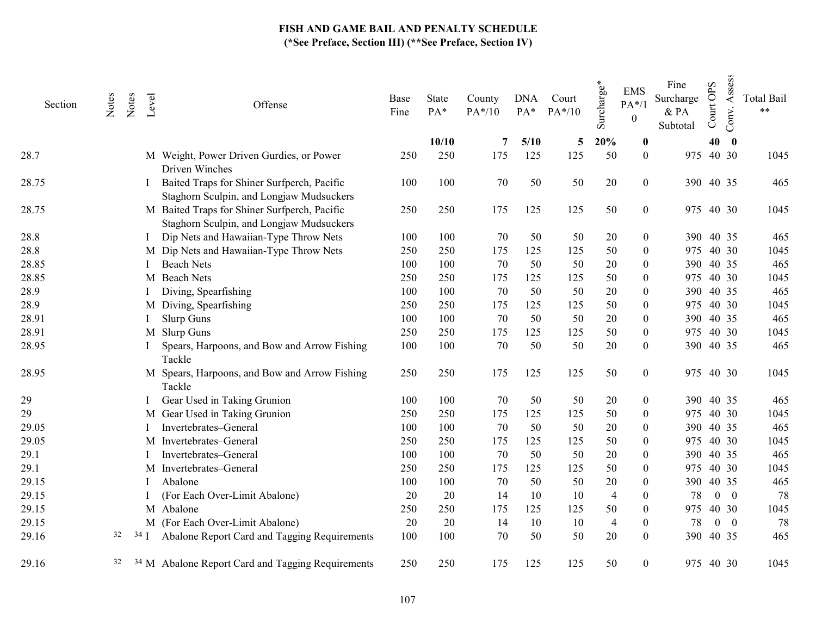| Section | Notes | Notes | Level  | Offense                                                                                  | Base<br>Fine | State<br>PA* | County<br>$PA*/10$ | <b>DNA</b><br>$PA*$ | Court<br>$PA*/10$ | Surcharge*     | <b>EMS</b><br>$PA*/1$<br>$\boldsymbol{0}$ | Fine<br>Surcharge<br>& PA<br>Subtotal | Court OPS | Assess<br>Conv.  | <b>Total Bail</b><br>$\star\star$ |
|---------|-------|-------|--------|------------------------------------------------------------------------------------------|--------------|--------------|--------------------|---------------------|-------------------|----------------|-------------------------------------------|---------------------------------------|-----------|------------------|-----------------------------------|
|         |       |       |        |                                                                                          |              | 10/10        | 7                  | 5/10                | 5                 | 20%            | $\boldsymbol{0}$                          |                                       | 40        | $\boldsymbol{0}$ |                                   |
| 28.7    |       |       |        | M Weight, Power Driven Gurdies, or Power<br>Driven Winches                               | 250          | 250          | 175                | 125                 | 125               | 50             | $\overline{0}$                            | 975                                   |           | 40 30            | 1045                              |
| 28.75   |       |       |        | Baited Traps for Shiner Surfperch, Pacific<br>Staghorn Sculpin, and Longjaw Mudsuckers   | 100          | 100          | 70                 | 50                  | 50                | 20             | $\boldsymbol{0}$                          | 390 40 35                             |           |                  | 465                               |
| 28.75   |       |       |        | M Baited Traps for Shiner Surfperch, Pacific<br>Staghorn Sculpin, and Longjaw Mudsuckers | 250          | 250          | 175                | 125                 | 125               | 50             | $\overline{0}$                            | 975 40 30                             |           |                  | 1045                              |
| 28.8    |       |       |        | Dip Nets and Hawaiian-Type Throw Nets                                                    | 100          | 100          | 70                 | 50                  | 50                | 20             | $\boldsymbol{0}$                          |                                       |           | 390 40 35        | 465                               |
| 28.8    |       |       |        | M Dip Nets and Hawaiian-Type Throw Nets                                                  | 250          | 250          | 175                | 125                 | 125               | 50             | $\theta$                                  | 975 40 30                             |           |                  | 1045                              |
| 28.85   |       |       |        | <b>Beach Nets</b>                                                                        | 100          | 100          | 70                 | 50                  | 50                | 20             | $\theta$                                  |                                       | 390 40 35 |                  | 465                               |
| 28.85   |       |       |        | M Beach Nets                                                                             | 250          | 250          | 175                | 125                 | 125               | 50             | $\theta$                                  | 975 40 30                             |           |                  | 1045                              |
| 28.9    |       |       |        | Diving, Spearfishing                                                                     | 100          | 100          | 70                 | 50                  | 50                | 20             | 0                                         |                                       | 390 40 35 |                  | 465                               |
| 28.9    |       |       |        | M Diving, Spearfishing                                                                   | 250          | 250          | 175                | 125                 | 125               | 50             | $\theta$                                  | 975                                   |           | 40 30            | 1045                              |
| 28.91   |       |       |        | Slurp Guns                                                                               | 100          | 100          | 70                 | 50                  | 50                | 20             | $\theta$                                  |                                       | 390 40 35 |                  | 465                               |
| 28.91   |       |       |        | M Slurp Guns                                                                             | 250          | 250          | 175                | 125                 | 125               | 50             | $\boldsymbol{0}$                          | 975                                   |           | 40 30            | 1045                              |
| 28.95   |       |       |        | Spears, Harpoons, and Bow and Arrow Fishing<br>Tackle                                    | 100          | 100          | 70                 | 50                  | 50                | 20             | $\theta$                                  |                                       | 390 40 35 |                  | 465                               |
| 28.95   |       |       |        | M Spears, Harpoons, and Bow and Arrow Fishing<br>Tackle                                  | 250          | 250          | 175                | 125                 | 125               | 50             | $\overline{0}$                            | 975 40 30                             |           |                  | 1045                              |
| 29      |       |       |        | Gear Used in Taking Grunion                                                              | 100          | 100          | 70                 | 50                  | 50                | 20             | $\overline{0}$                            | 390                                   |           | 40 35            | 465                               |
| 29      |       |       |        | M Gear Used in Taking Grunion                                                            | 250          | 250          | 175                | 125                 | 125               | 50             | $\boldsymbol{0}$                          | 975                                   |           | 40 30            | 1045                              |
| 29.05   |       |       |        | Invertebrates-General                                                                    | 100          | 100          | 70                 | 50                  | 50                | 20             | $\theta$                                  | 390                                   |           | 40 35            | 465                               |
| 29.05   |       |       |        | M Invertebrates-General                                                                  | 250          | 250          | 175                | 125                 | 125               | 50             | 0                                         | 975                                   |           | 40 30            | 1045                              |
| 29.1    |       |       |        | Invertebrates-General                                                                    | 100          | 100          | 70                 | 50                  | 50                | 20             | $\theta$                                  | 390                                   |           | 40 35            | 465                               |
| 29.1    |       |       |        | M Invertebrates-General                                                                  | 250          | 250          | 175                | 125                 | 125               | 50             | $\theta$                                  | 975                                   |           | 40 30            | 1045                              |
| 29.15   |       |       |        | Abalone                                                                                  | 100          | 100          | 70                 | 50                  | 50                | 20             | $\theta$                                  |                                       | 390 40 35 |                  | 465                               |
| 29.15   |       |       |        | (For Each Over-Limit Abalone)                                                            | 20           | 20           | 14                 | 10                  | 10                | $\overline{4}$ | $\mathbf{0}$                              | 78                                    |           | $0 \quad 0$      | 78                                |
| 29.15   |       |       |        | M Abalone                                                                                | 250          | 250          | 175                | 125                 | 125               | 50             | $\theta$                                  | 975                                   |           | 40 30            | 1045                              |
| 29.15   |       |       |        | M (For Each Over-Limit Abalone)                                                          | 20           | 20           | 14                 | 10                  | 10                | $\overline{4}$ | $\theta$                                  | 78                                    |           | $0 \quad 0$      | 78                                |
| 29.16   | 32    |       | $34$ I | Abalone Report Card and Tagging Requirements                                             | 100          | 100          | 70                 | 50                  | 50                | 20             | $\Omega$                                  |                                       | 390 40 35 |                  | 465                               |
| 29.16   | 32    |       |        | <sup>34</sup> M Abalone Report Card and Tagging Requirements                             | 250          | 250          | 175                | 125                 | 125               | 50             | $\overline{0}$                            |                                       | 975 40 30 |                  | 1045                              |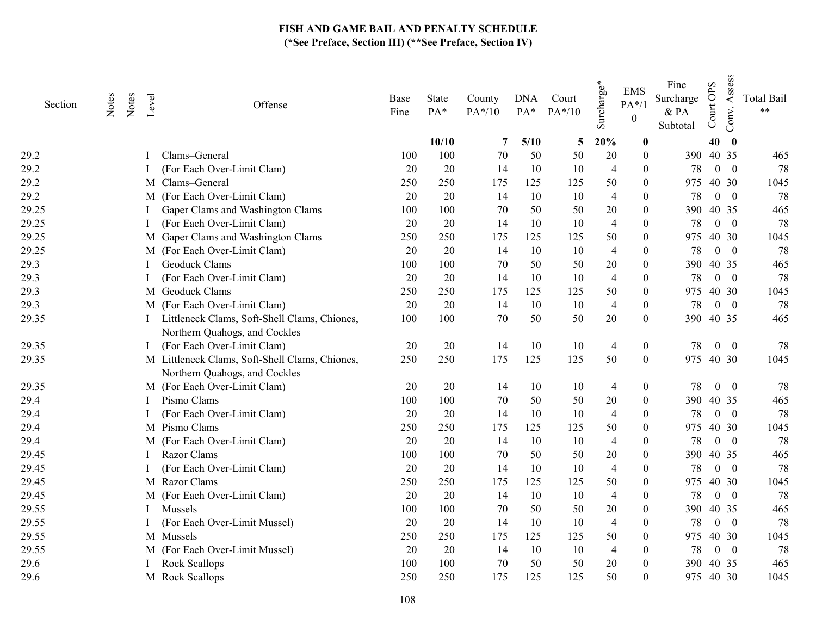| Section | Notes | Notes | Level | Offense                                                                       | Base<br>Fine | State<br>PA* | County<br>PA*/10 | <b>DNA</b><br>PA* | Court<br>$PA*/10$ | Surcharge*     | <b>EMS</b><br>$PA*/1$<br>$\boldsymbol{0}$ | Fine<br>Surcharge<br>& PA<br>Subtotal | <b>OPS</b><br>Court | Assess<br>Conv. | <b>Total Bail</b><br>$***$ |
|---------|-------|-------|-------|-------------------------------------------------------------------------------|--------------|--------------|------------------|-------------------|-------------------|----------------|-------------------------------------------|---------------------------------------|---------------------|-----------------|----------------------------|
|         |       |       |       |                                                                               |              | 10/10        | 7                | 5/10              | 5                 | 20%            | $\boldsymbol{0}$                          |                                       | 40                  | $\bf{0}$        |                            |
| 29.2    |       |       |       | Clams-General                                                                 | 100          | 100          | 70               | 50                | 50                | 20             | $\boldsymbol{0}$                          |                                       | 390 40 35           |                 | 465                        |
| 29.2    |       |       |       | (For Each Over-Limit Clam)                                                    | 20           | 20           | 14               | 10                | 10                | $\overline{4}$ | $\theta$                                  | 78                                    |                     | $0 \quad 0$     | 78                         |
| 29.2    |       |       |       | M Clams-General                                                               | 250          | 250          | 175              | 125               | 125               | 50             | $\theta$                                  | 975                                   |                     | 40 30           | 1045                       |
| 29.2    |       |       |       | M (For Each Over-Limit Clam)                                                  | 20           | 20           | 14               | 10                | 10                | $\overline{4}$ | $\theta$                                  | 78                                    |                     | $0 \quad 0$     | 78                         |
| 29.25   |       |       |       | Gaper Clams and Washington Clams                                              | 100          | 100          | 70               | 50                | 50                | 20             | $\theta$                                  | 390                                   |                     | 40 35           | 465                        |
| 29.25   |       |       |       | (For Each Over-Limit Clam)                                                    | 20           | 20           | 14               | 10                | 10                | $\overline{4}$ | 0                                         | 78                                    |                     | $0 \quad 0$     | 78                         |
| 29.25   |       |       |       | M Gaper Clams and Washington Clams                                            | 250          | 250          | 175              | 125               | 125               | 50             | $\theta$                                  | 975                                   |                     | 40 30           | 1045                       |
| 29.25   |       |       |       | M (For Each Over-Limit Clam)                                                  | 20           | 20           | 14               | 10                | 10                | $\overline{4}$ | 0                                         | 78                                    |                     | $0 \quad 0$     | 78                         |
| 29.3    |       |       |       | Geoduck Clams                                                                 | 100          | 100          | 70               | 50                | 50                | 20             | $\theta$                                  | 390                                   |                     | 40 35           | 465                        |
| 29.3    |       |       |       | (For Each Over-Limit Clam)                                                    | 20           | 20           | 14               | 10                | 10                | $\overline{4}$ | $\theta$                                  | 78                                    |                     | $0 \quad 0$     | 78                         |
| 29.3    |       |       |       | M Geoduck Clams                                                               | 250          | 250          | 175              | 125               | 125               | 50             | $\theta$                                  | 975                                   |                     | 40 30           | 1045                       |
| 29.3    |       |       |       | M (For Each Over-Limit Clam)                                                  | 20           | 20           | 14               | 10                | 10                | $\overline{4}$ | $\mathbf{0}$                              | 78                                    |                     | $0 \quad 0$     | 78                         |
| 29.35   |       |       |       | Littleneck Clams, Soft-Shell Clams, Chiones,<br>Northern Quahogs, and Cockles | 100          | 100          | 70               | 50                | 50                | 20             | $\mathbf{0}$                              | 390                                   | 40 35               |                 | 465                        |
| 29.35   |       |       |       | (For Each Over-Limit Clam)                                                    | 20           | 20           | 14               | 10                | 10                | $\overline{4}$ | $\boldsymbol{0}$                          | 78                                    |                     | $0\quad 0$      | 78                         |
| 29.35   |       |       |       | M Littleneck Clams, Soft-Shell Clams, Chiones,                                | 250          | 250          | 175              | 125               | 125               | 50             | $\mathbf{0}$                              | 975                                   | 40 30               |                 | 1045                       |
|         |       |       |       | Northern Quahogs, and Cockles                                                 |              |              |                  |                   |                   |                |                                           |                                       |                     |                 |                            |
| 29.35   |       |       |       | M (For Each Over-Limit Clam)                                                  | 20           | 20           | 14               | 10                | 10                | 4              | $\boldsymbol{0}$                          | 78                                    | $\overline{0}$      | $\overline{0}$  | 78                         |
| 29.4    |       |       |       | Pismo Clams                                                                   | 100          | 100          | 70               | 50                | 50                | 20             | $\theta$                                  | 390                                   |                     | 40 35           | 465                        |
| 29.4    |       |       |       | (For Each Over-Limit Clam)                                                    | 20           | 20           | 14               | 10                | 10                | 4              | $\theta$                                  | 78                                    |                     | $0 \quad 0$     | 78                         |
| 29.4    |       |       |       | M Pismo Clams                                                                 | 250          | 250          | 175              | 125               | 125               | 50             | $\Omega$                                  | 975                                   |                     | 40 30           | 1045                       |
| 29.4    |       |       |       | M (For Each Over-Limit Clam)                                                  | 20           | 20           | 14               | 10                | 10                | $\overline{4}$ | $\theta$                                  | 78                                    |                     | $0 \quad 0$     | 78                         |
| 29.45   |       |       |       | Razor Clams                                                                   | 100          | 100          | 70               | 50                | 50                | 20             | $\theta$                                  | 390                                   |                     | 40 35           | 465                        |
| 29.45   |       |       |       | (For Each Over-Limit Clam)                                                    | 20           | 20           | 14               | 10                | 10                | $\overline{4}$ | $\theta$                                  | 78                                    |                     | $0\quad 0$      | 78                         |
| 29.45   |       |       |       | M Razor Clams                                                                 | 250          | 250          | 175              | 125               | 125               | 50             | $\theta$                                  | 975                                   |                     | 40 30           | 1045                       |
| 29.45   |       |       |       | M (For Each Over-Limit Clam)                                                  | 20           | 20           | 14               | 10                | 10                | $\overline{4}$ | $\mathbf{0}$                              | 78                                    |                     | $0\quad 0$      | 78                         |
| 29.55   |       |       |       | Mussels                                                                       | 100          | 100          | 70               | 50                | 50                | 20             | $\Omega$                                  | 390                                   |                     | 40 35           | 465                        |
| 29.55   |       |       |       | (For Each Over-Limit Mussel)                                                  | 20           | 20           | 14               | 10                | 10                | $\overline{4}$ | $\Omega$                                  | 78                                    |                     | $0 \quad 0$     | 78                         |
| 29.55   |       |       |       | M Mussels                                                                     | 250          | 250          | 175              | 125               | 125               | 50             | $\theta$                                  | 975                                   |                     | 40 30           | 1045                       |
| 29.55   |       |       |       | M (For Each Over-Limit Mussel)                                                | 20           | 20           | 14               | 10                | 10                | $\overline{4}$ | $\mathbf{0}$                              | 78                                    |                     | $0 \quad 0$     | 78                         |
| 29.6    |       |       |       | Rock Scallops                                                                 | 100          | 100          | 70               | 50                | 50                | 20             | $\theta$                                  | 390                                   |                     | 40 35           | 465                        |
| 29.6    |       |       |       | M Rock Scallops                                                               | 250          | 250          | 175              | 125               | 125               | 50             | $\theta$                                  |                                       | 975 40 30           |                 | 1045                       |
|         |       |       |       |                                                                               |              |              |                  |                   |                   |                |                                           |                                       |                     |                 |                            |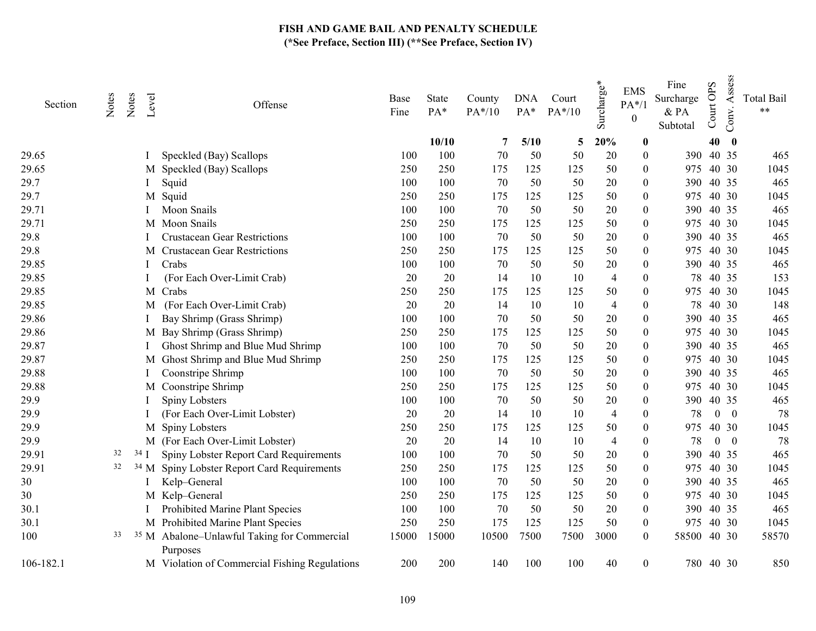| Section   | Notes | Notes | Level  | Offense                                                            | Base<br>Fine | State<br>PA* | County<br>PA*/10 | <b>DNA</b><br>$PA*$ | Court<br>$PA*/10$ | $\mathbf{v}^*$<br>Surcharge | <b>EMS</b><br>$PA*/1$<br>$\boldsymbol{0}$ | Fine<br>Surcharge<br>& PA<br>Subtotal | Court OPS | Assess<br>Conv. | <b>Total Bail</b><br>$***$ |
|-----------|-------|-------|--------|--------------------------------------------------------------------|--------------|--------------|------------------|---------------------|-------------------|-----------------------------|-------------------------------------------|---------------------------------------|-----------|-----------------|----------------------------|
|           |       |       |        |                                                                    |              | 10/10        | 7                | 5/10                | 5                 | 20%                         | $\boldsymbol{0}$                          |                                       | 40        | $\bf{0}$        |                            |
| 29.65     |       |       |        | Speckled (Bay) Scallops                                            | 100          | 100          | 70               | 50                  | 50                | 20                          | $\boldsymbol{0}$                          |                                       | 390 40 35 |                 | 465                        |
| 29.65     |       |       |        | M Speckled (Bay) Scallops                                          | 250          | 250          | 175              | 125                 | 125               | 50                          | $\theta$                                  | 975                                   |           | 40 30           | 1045                       |
| 29.7      |       |       |        | Squid                                                              | 100          | 100          | 70               | 50                  | 50                | 20                          | $\theta$                                  | 390                                   | 40 35     |                 | 465                        |
| 29.7      |       |       |        | M Squid                                                            | 250          | 250          | 175              | 125                 | 125               | 50                          | $\theta$                                  | 975                                   |           | 40 30           | 1045                       |
| 29.71     |       |       |        | Moon Snails                                                        | 100          | 100          | 70               | 50                  | 50                | 20                          | $\theta$                                  | 390                                   |           | 40 35           | 465                        |
| 29.71     |       |       |        | M Moon Snails                                                      | 250          | 250          | 175              | 125                 | 125               | 50                          | $\overline{0}$                            | 975.                                  | 40 30     |                 | 1045                       |
| 29.8      |       |       |        | <b>Crustacean Gear Restrictions</b>                                | 100          | 100          | 70               | 50                  | 50                | 20                          | $\theta$                                  | 390                                   |           | 40 35           | 465                        |
| 29.8      |       |       |        | M Crustacean Gear Restrictions                                     | 250          | 250          | 175              | 125                 | 125               | 50                          | $\theta$                                  | 975                                   |           | 40 30           | 1045                       |
| 29.85     |       |       |        | Crabs                                                              | 100          | 100          | 70               | 50                  | 50                | 20                          | $\theta$                                  |                                       | 390 40 35 |                 | 465                        |
| 29.85     |       |       |        | (For Each Over-Limit Crab)                                         | 20           | 20           | 14               | 10                  | 10                | $\overline{4}$              | $\theta$                                  | 78                                    |           | 40 35           | 153                        |
| 29.85     |       |       |        | M Crabs                                                            | 250          | 250          | 175              | 125                 | 125               | 50                          | $\overline{0}$                            | 975                                   |           | 40 30           | 1045                       |
| 29.85     |       |       | M      | (For Each Over-Limit Crab)                                         | 20           | 20           | 14               | 10                  | 10                | $\overline{4}$              | $\theta$                                  | 78                                    |           | 40 30           | 148                        |
| 29.86     |       |       |        | Bay Shrimp (Grass Shrimp)                                          | 100          | 100          | 70               | 50                  | 50                | 20                          | $\theta$                                  | 390                                   |           | 40 35           | 465                        |
| 29.86     |       |       |        | M Bay Shrimp (Grass Shrimp)                                        | 250          | 250          | 175              | 125                 | 125               | 50                          | $\Omega$                                  | 975                                   |           | 40 30           | 1045                       |
| 29.87     |       |       |        | Ghost Shrimp and Blue Mud Shrimp                                   | 100          | 100          | 70               | 50                  | 50                | 20                          | $\theta$                                  | 390                                   |           | 40 35           | 465                        |
| 29.87     |       |       | M      | Ghost Shrimp and Blue Mud Shrimp                                   | 250          | 250          | 175              | 125                 | 125               | 50                          | $\theta$                                  | 975                                   |           | 40 30           | 1045                       |
| 29.88     |       |       |        | Coonstripe Shrimp                                                  | 100          | 100          | 70               | 50                  | 50                | 20                          | $\boldsymbol{0}$                          | 390                                   |           | 40 35           | 465                        |
| 29.88     |       |       | M      | Coonstripe Shrimp                                                  | 250          | 250          | 175              | 125                 | 125               | 50                          | $\theta$                                  | 975                                   |           | 40 30           | 1045                       |
| 29.9      |       |       |        | Spiny Lobsters                                                     | 100          | 100          | 70               | 50                  | 50                | 20                          | $\theta$                                  | 390                                   | 40 35     |                 | 465                        |
| 29.9      |       |       |        | (For Each Over-Limit Lobster)                                      | 20           | 20           | 14               | 10                  | 10                | $\overline{4}$              | $\theta$                                  | 78                                    |           | $0 \quad 0$     | 78                         |
| 29.9      |       |       |        | M Spiny Lobsters                                                   | 250          | 250          | 175              | 125                 | 125               | 50                          | 0                                         | 975                                   |           | 40 30           | 1045                       |
| 29.9      |       |       |        | M (For Each Over-Limit Lobster)                                    | 20           | 20           | 14               | 10                  | 10                | $\overline{4}$              | $\theta$                                  | 78                                    |           | $0 \quad 0$     | 78                         |
| 29.91     | 32    |       | $34$ I | Spiny Lobster Report Card Requirements                             | 100          | 100          | 70               | 50                  | 50                | 20                          | $\overline{0}$                            |                                       | 390 40 35 |                 | 465                        |
| 29.91     | 32    |       |        | <sup>34</sup> M Spiny Lobster Report Card Requirements             | 250          | 250          | 175              | 125                 | 125               | 50                          | $\theta$                                  | 975                                   | 40 30     |                 | 1045                       |
| 30        |       |       |        | Kelp-General                                                       | 100          | 100          | 70               | 50                  | 50                | 20                          | $\Omega$                                  | 390                                   | 40 35     |                 | 465                        |
| 30        |       |       |        | M Kelp-General                                                     | 250          | 250          | 175              | 125                 | 125               | 50                          | $\theta$                                  |                                       | 975 40 30 |                 | 1045                       |
| 30.1      |       |       |        | Prohibited Marine Plant Species                                    | 100          | 100          | 70               | 50                  | 50                | 20                          | $\overline{0}$                            |                                       | 390 40 35 |                 | 465                        |
| 30.1      |       |       |        | M Prohibited Marine Plant Species                                  | 250          | 250          | 175              | 125                 | 125               | 50                          | $\mathbf{0}$                              |                                       | 975 40 30 |                 | 1045                       |
| 100       | 33    |       |        | <sup>35</sup> M Abalone-Unlawful Taking for Commercial<br>Purposes | 15000        | 15000        | 10500            | 7500                | 7500              | 3000                        | $\mathbf{0}$                              | 58500                                 |           | 40 30           | 58570                      |
| 106-182.1 |       |       |        | M Violation of Commercial Fishing Regulations                      | 200          | 200          | 140              | 100                 | 100               | 40                          | 0                                         |                                       | 780 40 30 |                 | 850                        |
|           |       |       |        |                                                                    |              |              |                  |                     |                   |                             |                                           |                                       |           |                 |                            |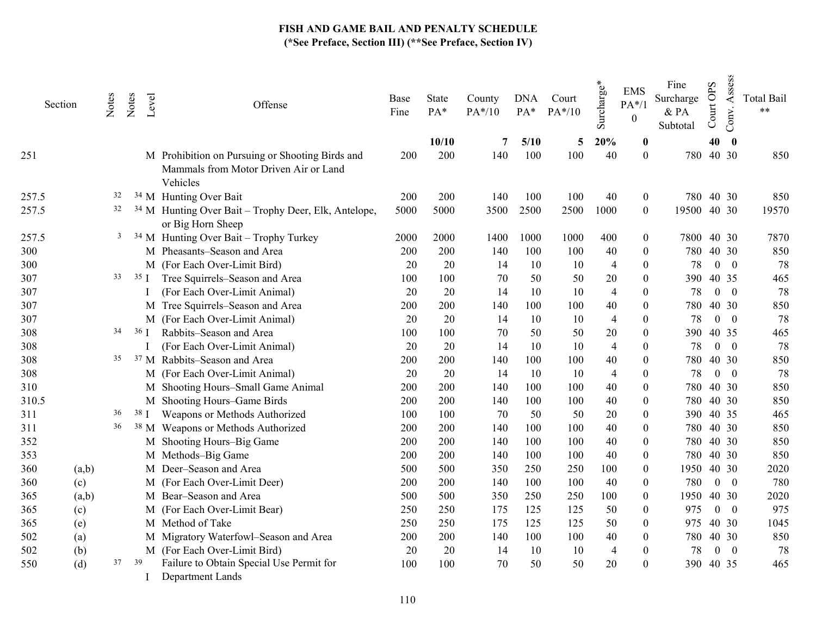| Section |       | Notes | Notes  | Level | Offense                                                                                              | Base<br>Fine | State<br>PA* | County<br>PA*/10 | <b>DNA</b><br>$PA*$ | Court<br>$PA*/10$ | Surcharge*     | <b>EMS</b><br>$PA*/1$<br>$\theta$ | Fine<br>Surcharge<br>& PA<br>Subtotal | Court OPS | Assess<br>Conv. | <b>Total Bail</b><br>$***$ |
|---------|-------|-------|--------|-------|------------------------------------------------------------------------------------------------------|--------------|--------------|------------------|---------------------|-------------------|----------------|-----------------------------------|---------------------------------------|-----------|-----------------|----------------------------|
|         |       |       |        |       |                                                                                                      |              | 10/10        | 7                | 5/10                | 5                 | 20%            | $\bf{0}$                          |                                       | 40        | $\bf{0}$        |                            |
| 251     |       |       |        |       | M Prohibition on Pursuing or Shooting Birds and<br>Mammals from Motor Driven Air or Land<br>Vehicles | 200          | 200          | 140              | 100                 | 100               | 40             | $\boldsymbol{0}$                  |                                       | 780 40 30 |                 | 850                        |
| 257.5   |       | 32    |        |       | <sup>34</sup> M Hunting Over Bait                                                                    | 200          | 200          | 140              | 100                 | 100               | 40             | 0                                 |                                       | 780 40 30 |                 | 850                        |
| 257.5   |       | 32    |        |       | <sup>34</sup> M Hunting Over Bait - Trophy Deer, Elk, Antelope,<br>or Big Horn Sheep                 | 5000         | 5000         | 3500             | 2500                | 2500              | 1000           | $\mathbf{0}$                      | 19500 40 30                           |           |                 | 19570                      |
| 257.5   |       | 3     |        |       | $34$ M Hunting Over Bait – Trophy Turkey                                                             | 2000         | 2000         | 1400             | 1000                | 1000              | 400            | 0                                 | 7800 40 30                            |           |                 | 7870                       |
| 300     |       |       |        |       | M Pheasants-Season and Area                                                                          | 200          | 200          | 140              | 100                 | 100               | $40\,$         | $\boldsymbol{0}$                  | 780                                   |           | 40 30           | 850                        |
| 300     |       |       |        |       | M (For Each Over-Limit Bird)                                                                         | 20           | 20           | 14               | 10                  | 10                | $\overline{4}$ | $\boldsymbol{0}$                  | 78                                    |           | $0\quad 0$      | 78                         |
| 307     |       | 33    | $35$ I |       | Tree Squirrels-Season and Area                                                                       | 100          | 100          | 70               | 50                  | 50                | 20             | $\boldsymbol{0}$                  | 390                                   |           | 40 35           | 465                        |
| 307     |       |       |        |       | (For Each Over-Limit Animal)                                                                         | 20           | 20           | 14               | 10                  | 10                | $\overline{4}$ | $\theta$                          | 78                                    |           | $0 \quad 0$     | 78                         |
| 307     |       |       |        |       | M Tree Squirrels-Season and Area                                                                     | 200          | 200          | 140              | 100                 | 100               | 40             | $\theta$                          | 780                                   |           | 40 30           | 850                        |
| 307     |       |       |        |       | M (For Each Over-Limit Animal)                                                                       | 20           | 20           | 14               | 10                  | 10                | $\overline{4}$ | 0                                 | 78                                    |           | $0 \quad 0$     | 78                         |
| 308     |       | 34    | 36 I   |       | Rabbits-Season and Area                                                                              | 100          | 100          | 70               | 50                  | 50                | 20             | 0                                 | 390                                   |           | 40 35           | 465                        |
| 308     |       |       |        |       | (For Each Over-Limit Animal)                                                                         | 20           | 20           | 14               | 10                  | 10                | $\overline{4}$ | 0                                 | 78                                    |           | $0 \quad 0$     | 78                         |
| 308     |       | 35    |        |       | <sup>37</sup> M Rabbits-Season and Area                                                              | 200          | 200          | 140              | 100                 | 100               | $40\,$         | 0                                 | 780                                   |           | 40 30           | 850                        |
| 308     |       |       |        |       | M (For Each Over-Limit Animal)                                                                       | 20           | 20           | 14               | 10                  | 10                | $\overline{4}$ | 0                                 | 78                                    |           | $0 \quad 0$     | 78                         |
| 310     |       |       |        |       | M Shooting Hours-Small Game Animal                                                                   | 200          | 200          | 140              | 100                 | 100               | 40             | 0                                 | 780                                   |           | 40 30           | 850                        |
| 310.5   |       |       |        |       | M Shooting Hours-Game Birds                                                                          | 200          | 200          | 140              | 100                 | 100               | 40             | 0                                 | 780                                   |           | 40 30           | 850                        |
| 311     |       | 36    |        | 38 I  | Weapons or Methods Authorized                                                                        | 100          | 100          | 70               | 50                  | 50                | 20             | 0                                 |                                       | 390 40 35 |                 | 465                        |
| 311     |       | 36    |        |       | <sup>38</sup> M Weapons or Methods Authorized                                                        | 200          | 200          | 140              | 100                 | 100               | 40             | 0                                 |                                       | 780 40 30 |                 | 850                        |
| 352     |       |       |        |       | M Shooting Hours-Big Game                                                                            | 200          | 200          | 140              | 100                 | 100               | 40             | 0                                 |                                       | 780 40 30 |                 | 850                        |
| 353     |       |       |        |       | M Methods-Big Game                                                                                   | 200          | 200          | 140              | 100                 | 100               | 40             | 0                                 | 780                                   |           | 40 30           | 850                        |
| 360     | (a,b) |       |        |       | M Deer-Season and Area                                                                               | 500          | 500          | 350              | 250                 | 250               | 100            | 0                                 | 1950                                  |           | 40 30           | 2020                       |
| 360     | (c)   |       |        |       | M (For Each Over-Limit Deer)                                                                         | 200          | 200          | 140              | 100                 | 100               | 40             | 0                                 | 780                                   |           | $0 \quad 0$     | 780                        |
| 365     | (a,b) |       |        |       | M Bear-Season and Area                                                                               | 500          | 500          | 350              | 250                 | 250               | 100            | $\pmb{0}$                         | 1950                                  |           | 40 30           | 2020                       |
| 365     | (c)   |       |        |       | M (For Each Over-Limit Bear)                                                                         | 250          | 250          | 175              | 125                 | 125               | 50             | 0                                 | 975                                   |           | $0 \quad 0$     | 975                        |
| 365     | (e)   |       |        |       | M Method of Take                                                                                     | 250          | 250          | 175              | 125                 | 125               | 50             | 0                                 | 975                                   |           | 40 30           | 1045                       |
| 502     | (a)   |       |        |       | M Migratory Waterfowl-Season and Area                                                                | 200          | 200          | 140              | 100                 | 100               | 40             | 0                                 | 780                                   |           | 40 30           | 850                        |
| 502     | (b)   |       |        |       | M (For Each Over-Limit Bird)                                                                         | 20           | 20           | 14               | 10                  | 10                | $\overline{4}$ | 0                                 | 78                                    |           | $0 \quad 0$     | 78                         |
| 550     | (d)   | 37    | 39     |       | Failure to Obtain Special Use Permit for<br>Department Lands                                         | 100          | 100          | 70               | 50                  | 50                | 20             | $\boldsymbol{0}$                  |                                       | 390 40 35 |                 | 465                        |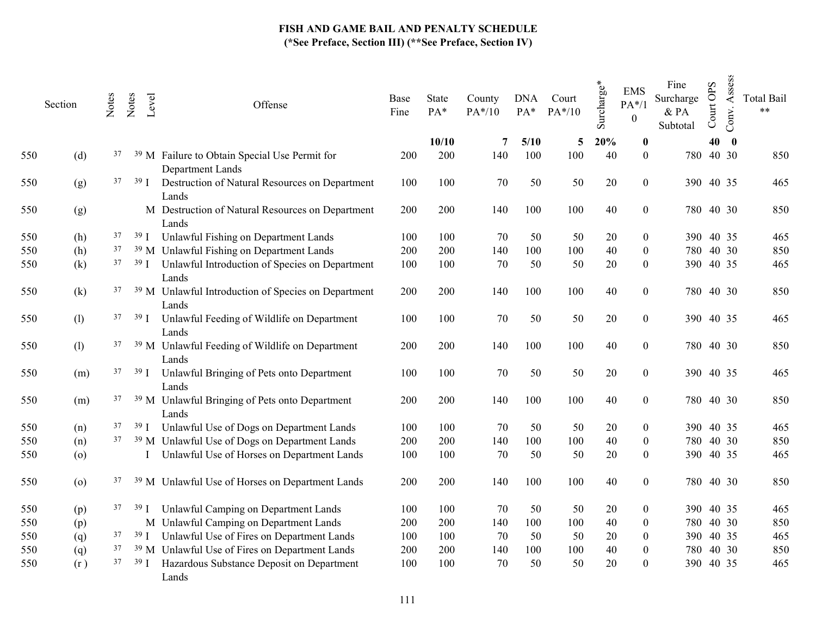|     | Section            | Notes | Notes           | Level | Offense                                                                      | Base<br>Fine | State<br>PA* | County<br>$PA*/10$ | <b>DNA</b><br>$PA*$ | Court<br>$PA*/10$ | Surcharge* | <b>EMS</b><br>$PA*/1$<br>$\boldsymbol{0}$ | Fine<br>Surcharge<br>& PA<br>Subtotal | Court OPS | Assess<br>Conv. | <b>Total Bail</b><br>$***$ |
|-----|--------------------|-------|-----------------|-------|------------------------------------------------------------------------------|--------------|--------------|--------------------|---------------------|-------------------|------------|-------------------------------------------|---------------------------------------|-----------|-----------------|----------------------------|
|     |                    |       |                 |       |                                                                              |              | 10/10        | 7                  | 5/10                | 5                 | 20%        | $\boldsymbol{0}$                          |                                       | 40        | $\mathbf{0}$    |                            |
| 550 | (d)                | 37    |                 |       | <sup>39</sup> M Failure to Obtain Special Use Permit for<br>Department Lands | 200          | 200          | 140                | 100                 | 100               | 40         | $\overline{0}$                            |                                       | 780 40 30 |                 | 850                        |
| 550 | (g)                | 37    | 39 <sub>1</sub> |       | Destruction of Natural Resources on Department<br>Lands                      | 100          | 100          | 70                 | 50                  | 50                | 20         | $\boldsymbol{0}$                          |                                       | 390 40 35 |                 | 465                        |
| 550 | (g)                |       |                 |       | M Destruction of Natural Resources on Department<br>Lands                    | 200          | 200          | 140                | 100                 | 100               | $40\,$     | $\boldsymbol{0}$                          |                                       | 780 40 30 |                 | 850                        |
| 550 | (h)                | 37    |                 |       | <sup>39</sup> I Unlawful Fishing on Department Lands                         | 100          | 100          | 70                 | 50                  | 50                | 20         | $\boldsymbol{0}$                          |                                       | 390 40 35 |                 | 465                        |
| 550 | (h)                | 37    |                 |       | <sup>39</sup> M Unlawful Fishing on Department Lands                         | 200          | 200          | 140                | 100                 | 100               | 40         | $\boldsymbol{0}$                          |                                       | 780 40 30 |                 | 850                        |
| 550 | (k)                | 37    | 39 <sub>1</sub> |       | Unlawful Introduction of Species on Department<br>Lands                      | 100          | 100          | $70\,$             | 50                  | 50                | 20         | $\boldsymbol{0}$                          |                                       | 390 40 35 |                 | 465                        |
| 550 | (k)                | 37    |                 |       | <sup>39</sup> M Unlawful Introduction of Species on Department<br>Lands      | 200          | 200          | 140                | 100                 | 100               | $40\,$     | $\boldsymbol{0}$                          |                                       | 780 40 30 |                 | 850                        |
| 550 | (1)                | 37    | 39 <sub>1</sub> |       | Unlawful Feeding of Wildlife on Department<br>Lands                          | 100          | 100          | 70                 | 50                  | 50                | 20         | $\boldsymbol{0}$                          |                                       | 390 40 35 |                 | 465                        |
| 550 | (1)                | 37    |                 |       | <sup>39</sup> M Unlawful Feeding of Wildlife on Department<br>Lands          | 200          | 200          | 140                | 100                 | 100               | 40         | $\boldsymbol{0}$                          |                                       | 780 40 30 |                 | 850                        |
| 550 | (m)                | 37    | 39 <sub>1</sub> |       | Unlawful Bringing of Pets onto Department<br>Lands                           | 100          | 100          | 70                 | 50                  | 50                | 20         | $\boldsymbol{0}$                          |                                       | 390 40 35 |                 | 465                        |
| 550 | (m)                | 37    |                 |       | <sup>39</sup> M Unlawful Bringing of Pets onto Department<br>Lands           | 200          | 200          | 140                | 100                 | 100               | $40\,$     | $\boldsymbol{0}$                          |                                       | 780 40 30 |                 | 850                        |
| 550 | (n)                | 37    |                 |       | <sup>39</sup> I Unlawful Use of Dogs on Department Lands                     | 100          | 100          | 70                 | 50                  | 50                | 20         | 0                                         |                                       | 390 40 35 |                 | 465                        |
| 550 | (n)                |       |                 |       | <sup>37</sup> <sup>39</sup> M Unlawful Use of Dogs on Department Lands       | 200          | 200          | 140                | 100                 | 100               | 40         | $\boldsymbol{0}$                          |                                       | 780 40 30 |                 | 850                        |
| 550 | (o)                |       |                 |       | Unlawful Use of Horses on Department Lands                                   | 100          | 100          | 70                 | 50                  | 50                | 20         | $\boldsymbol{0}$                          |                                       | 390 40 35 |                 | 465                        |
| 550 | $\left( 0 \right)$ | 37    |                 |       | <sup>39</sup> M Unlawful Use of Horses on Department Lands                   | 200          | 200          | 140                | 100                 | 100               | 40         | $\boldsymbol{0}$                          |                                       | 780 40 30 |                 | 850                        |
| 550 | (p)                | 37    | 39 <sub>1</sub> |       | Unlawful Camping on Department Lands                                         | 100          | 100          | 70                 | 50                  | 50                | 20         | 0                                         |                                       | 390 40 35 |                 | 465                        |
| 550 | (p)                |       |                 |       | M Unlawful Camping on Department Lands                                       | 200          | 200          | 140                | 100                 | 100               | 40         | 0                                         |                                       | 780 40 30 |                 | 850                        |
| 550 | (q)                | 37    |                 |       | <sup>39</sup> I Unlawful Use of Fires on Department Lands                    | 100          | 100          | 70                 | 50                  | 50                | 20         | $\boldsymbol{0}$                          |                                       | 390 40 35 |                 | 465                        |
| 550 | (q)                | 37    |                 |       | <sup>39</sup> M Unlawful Use of Fires on Department Lands                    | 200          | 200          | 140                | 100                 | 100               | $40\,$     | 0                                         |                                       | 780 40 30 |                 | 850                        |
| 550 | (r)                | 37    | 39 J            |       | Hazardous Substance Deposit on Department<br>Lands                           | 100          | 100          | 70                 | 50                  | 50                | 20         | $\theta$                                  |                                       | 390 40 35 |                 | 465                        |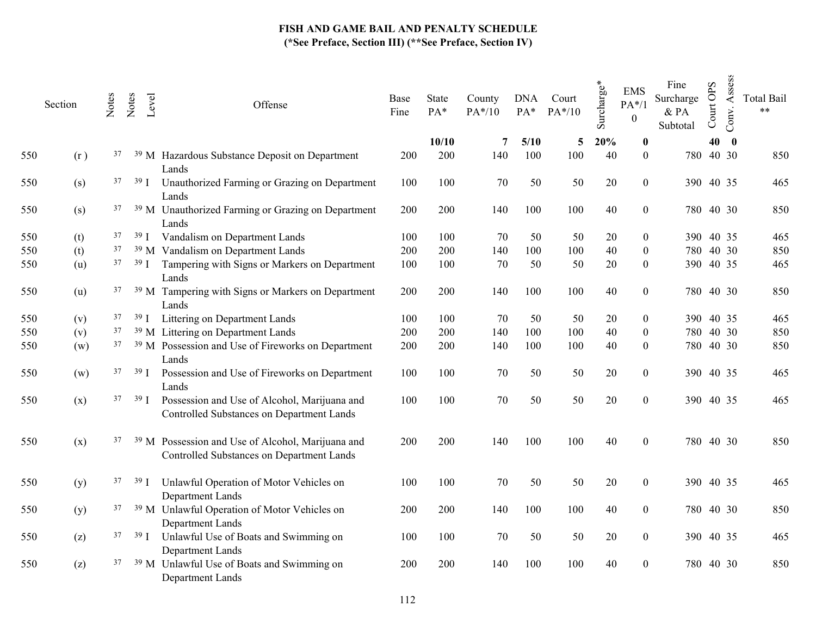|     | Section | Notes | Notes | Level           | Offense                                                                                                   | Base<br>Fine | State<br>PA* | County<br>$PA*/10$ | <b>DNA</b><br>PA* | Court<br>$PA*/10$ | Surcharge* | <b>EMS</b><br>$PA*/1$<br>$\boldsymbol{0}$ | Fine<br>Surcharge<br>& PA<br>Subtotal | Court OPS | Assess<br>Conv. | <b>Total Bail</b><br>$***$ |
|-----|---------|-------|-------|-----------------|-----------------------------------------------------------------------------------------------------------|--------------|--------------|--------------------|-------------------|-------------------|------------|-------------------------------------------|---------------------------------------|-----------|-----------------|----------------------------|
|     |         |       |       |                 |                                                                                                           |              | 10/10        | 7                  | 5/10              | 5                 | 20%        | $\boldsymbol{0}$                          |                                       | 40        | $\bf{0}$        |                            |
| 550 | (r)     | 37    |       |                 | <sup>39</sup> M Hazardous Substance Deposit on Department<br>Lands                                        | 200          | 200          | 140                | 100               | 100               | 40         | $\boldsymbol{0}$                          |                                       | 780 40 30 |                 | 850                        |
| 550 | (s)     | 37    |       | 39 <sub>1</sub> | Unauthorized Farming or Grazing on Department<br>Lands                                                    | 100          | 100          | 70                 | 50                | 50                | 20         | $\overline{0}$                            |                                       | 390 40 35 |                 | 465                        |
| 550 | (s)     | 37    |       |                 | <sup>39</sup> M Unauthorized Farming or Grazing on Department<br>Lands                                    | 200          | 200          | 140                | 100               | 100               | 40         | $\overline{0}$                            |                                       | 780 40 30 |                 | 850                        |
| 550 | (t)     | 37    |       |                 | <sup>39</sup> I Vandalism on Department Lands                                                             | 100          | 100          | 70                 | 50                | 50                | 20         | 0                                         |                                       | 390 40 35 |                 | 465                        |
| 550 | (t)     | 37    |       |                 | <sup>39</sup> M Vandalism on Department Lands                                                             | 200          | 200          | 140                | 100               | 100               | 40         | $\overline{0}$                            |                                       | 780 40 30 |                 | 850                        |
| 550 | (u)     | 37    |       | 39 I            | Tampering with Signs or Markers on Department<br>Lands                                                    | 100          | 100          | $70\,$             | 50                | 50                | $20\,$     | $\boldsymbol{0}$                          |                                       | 390 40 35 |                 | 465                        |
| 550 | (u)     | 37    |       |                 | <sup>39</sup> M Tampering with Signs or Markers on Department<br>Lands                                    | 200          | 200          | 140                | 100               | 100               | 40         | $\boldsymbol{0}$                          |                                       | 780 40 30 |                 | 850                        |
| 550 | (v)     | 37    |       |                 | <sup>39</sup> I Littering on Department Lands                                                             | 100          | 100          | 70                 | 50                | 50                | 20         | $\boldsymbol{0}$                          |                                       | 390 40 35 |                 | 465                        |
| 550 | (v)     | 37    |       |                 | <sup>39</sup> M Littering on Department Lands                                                             | 200          | 200          | 140                | 100               | 100               | 40         | $\boldsymbol{0}$                          |                                       | 780 40 30 |                 | 850                        |
| 550 | (w)     | 37    |       |                 | <sup>39</sup> M Possession and Use of Fireworks on Department<br>Lands                                    | 200          | 200          | 140                | 100               | 100               | 40         | $\boldsymbol{0}$                          |                                       | 780 40 30 |                 | 850                        |
| 550 | (w)     | 37    |       | 39 <sub>1</sub> | Possession and Use of Fireworks on Department<br>Lands                                                    | 100          | 100          | 70                 | 50                | 50                | 20         | $\overline{0}$                            |                                       | 390 40 35 |                 | 465                        |
| 550 | (x)     | 37    |       | 39 I            | Possession and Use of Alcohol, Marijuana and<br>Controlled Substances on Department Lands                 | 100          | 100          | 70                 | 50                | 50                | $20\,$     | $\boldsymbol{0}$                          |                                       | 390 40 35 |                 | 465                        |
| 550 | (x)     | 37    |       |                 | <sup>39</sup> M Possession and Use of Alcohol, Marijuana and<br>Controlled Substances on Department Lands | 200          | 200          | 140                | 100               | 100               | 40         | $\boldsymbol{0}$                          |                                       | 780 40 30 |                 | 850                        |
| 550 | (y)     | 37    |       | 39 <sub>1</sub> | Unlawful Operation of Motor Vehicles on<br>Department Lands                                               | 100          | 100          | 70                 | 50                | 50                | 20         | $\boldsymbol{0}$                          |                                       | 390 40 35 |                 | 465                        |
| 550 | (y)     | 37    |       |                 | <sup>39</sup> M Unlawful Operation of Motor Vehicles on<br>Department Lands                               | 200          | 200          | 140                | 100               | 100               | 40         | $\boldsymbol{0}$                          |                                       | 780 40 30 |                 | 850                        |
| 550 | (z)     | 37    |       |                 | <sup>39</sup> I Unlawful Use of Boats and Swimming on<br>Department Lands                                 | 100          | 100          | 70                 | 50                | 50                | 20         | $\boldsymbol{0}$                          |                                       | 390 40 35 |                 | 465                        |
| 550 | (z)     | 37    |       |                 | <sup>39</sup> M Unlawful Use of Boats and Swimming on<br>Department Lands                                 | 200          | 200          | 140                | 100               | 100               | 40         | $\boldsymbol{0}$                          |                                       | 780 40 30 |                 | 850                        |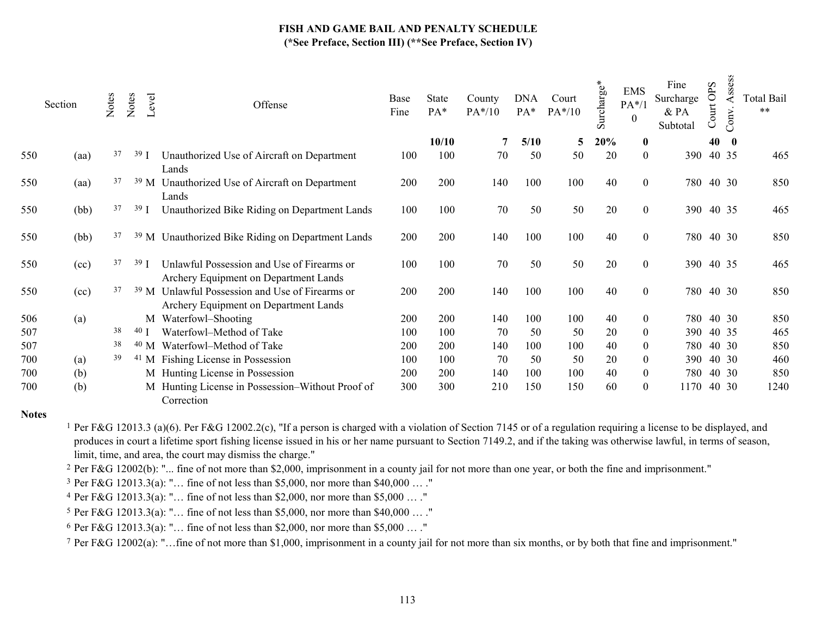|     | Section | Notes | Notes           | Level           | Offense                                                                             | Base<br>Fine | <b>State</b><br>PA* | County<br>PA*/10 | <b>DNA</b><br>$PA*$ | Court<br>$PA*/10$ | surcharge*<br>$\omega$ | <b>EMS</b><br>$PA*/1$<br>$\theta$ | Fine<br>Surcharge<br>& PA<br>Subtotal | OPS<br>Court | Assess<br>Conv | <b>Total Bail</b><br>$***$ |
|-----|---------|-------|-----------------|-----------------|-------------------------------------------------------------------------------------|--------------|---------------------|------------------|---------------------|-------------------|------------------------|-----------------------------------|---------------------------------------|--------------|----------------|----------------------------|
|     |         |       |                 |                 |                                                                                     |              | 10/10               |                  | 5/10                | 5                 | 20%                    | $\bf{0}$                          |                                       | 40           | $\bf{0}$       |                            |
| 550 | (aa)    | 37    | 39 J            |                 | Unauthorized Use of Aircraft on Department<br>Lands                                 | 100          | 100                 | 70               | 50                  | 50                | 20                     | $\mathbf{0}$                      | 390                                   | 40 35        |                | 465                        |
| 550 | (aa)    | 37    |                 | 39 <sub>M</sub> | Unauthorized Use of Aircraft on Department<br>Lands                                 | 200          | 200                 | 140              | 100                 | 100               | 40                     | $\theta$                          | 780                                   | 40 30        |                | 850                        |
| 550 | (bb)    | 37    | 39 <sub>1</sub> |                 | Unauthorized Bike Riding on Department Lands                                        | 100          | 100                 | 70               | 50                  | 50                | 20                     | $\boldsymbol{0}$                  |                                       | 390 40 35    |                | 465                        |
| 550 | (bb)    | 37    |                 |                 | <sup>39</sup> M Unauthorized Bike Riding on Department Lands                        | 200          | 200                 | 140              | 100                 | 100               | 40                     | $\boldsymbol{0}$                  |                                       | 780 40 30    |                | 850                        |
| 550 | (cc)    | 37    | 39 J            |                 | Unlawful Possession and Use of Firearms or<br>Archery Equipment on Department Lands | 100          | 100                 | 70               | 50                  | 50                | 20                     | $\mathbf{0}$                      |                                       | 390 40 35    |                | 465                        |
| 550 | (cc)    | 37    |                 | 39 <sub>M</sub> | Unlawful Possession and Use of Firearms or<br>Archery Equipment on Department Lands | 200          | 200                 | 140              | 100                 | 100               | 40                     | $\theta$                          |                                       | 780 40 30    |                | 850                        |
| 506 | (a)     |       |                 |                 | M Waterfowl-Shooting                                                                | 200          | 200                 | 140              | 100                 | 100               | 40                     | $\overline{0}$                    | 780                                   |              | 40 30          | 850                        |
| 507 |         | 38    | $40$ J          |                 | Waterfowl-Method of Take                                                            | 100          | 100                 | 70               | 50                  | 50                | 20                     | $\theta$                          | 390                                   |              | 40 35          | 465                        |
| 507 |         | 38    |                 | $40$ M          | Waterfowl-Method of Take                                                            | 200          | 200                 | 140              | 100                 | 100               | 40                     | $\theta$                          | 780                                   |              | 40 30          | 850                        |
| 700 | (a)     | 39    |                 |                 | <sup>41</sup> M Fishing License in Possession                                       | 100          | 100                 | 70               | 50                  | 50                | 20                     | $\overline{0}$                    | 390                                   |              | 40 30          | 460                        |
| 700 | (b)     |       |                 |                 | M Hunting License in Possession                                                     | 200          | 200                 | 140              | 100                 | 100               | 40                     | $\bf{0}$                          | 780                                   |              | 40 30          | 850                        |
| 700 | (b)     |       |                 |                 | M Hunting License in Possession-Without Proof of<br>Correction                      | 300          | 300                 | 210              | 150                 | 150               | 60                     | $\theta$                          | 1170                                  |              | 40 30          | 1240                       |

#### Notes

<sup>1</sup> Per F&G 12013.3 (a)(6). Per F&G 12002.2(c), "If a person is charged with a violation of Section 7145 or of a regulation requiring a license to be displayed, and produces in court a lifetime sport fishing license issued in his or her name pursuant to Section 7149.2, and if the taking was otherwise lawful, in terms of season, limit, time, and area, the court may dismiss the charge."

2 Per F&G 12002(b): "... fine of not more than \$2,000, imprisonment in a county jail for not more than one year, or both the fine and imprisonment."

3 Per F&G 12013.3(a): "… fine of not less than \$5,000, nor more than \$40,000 … ."

4 Per F&G 12013.3(a): "… fine of not less than \$2,000, nor more than \$5,000 … ."

5 Per F&G 12013.3(a): "… fine of not less than \$5,000, nor more than \$40,000 … ."

<sup>6</sup> Per F&G 12013.3(a): "... fine of not less than \$2,000, nor more than \$5,000 ... ."

7 Per F&G 12002(a): "…fine of not more than \$1,000, imprisonment in a county jail for not more than six months, or by both that fine and imprisonment."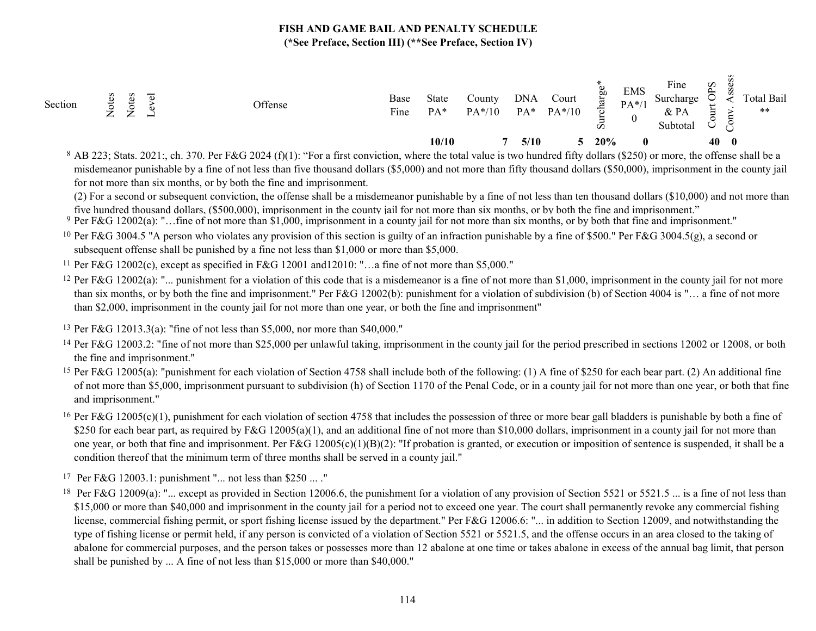| Section | ؎<br>–<br>⇁<br>←<br>← | ↽<br>⊣ | Offense | Base<br>$\mathbf{r}$<br>Fine | State<br>$PA*$ | County<br>$PA*/10$ | <b>DNA</b> | $PA*$ | Court<br>$PA*/10$ | Eg<br>ট<br>∸<br>w | <b>EMS</b><br>$PA*/1$ | Fine<br>Surcharge<br>$&$ PA<br>Subtota. | Sdo<br>د<br>$\checkmark$ |              | Total Bail<br>$***$ |
|---------|-----------------------|--------|---------|------------------------------|----------------|--------------------|------------|-------|-------------------|-------------------|-----------------------|-----------------------------------------|--------------------------|--------------|---------------------|
|         |                       |        |         |                              | 10/10          |                    |            | 5/10  |                   | 20%               | $\mathbf{0}$          |                                         | 40                       | $\mathbf{0}$ |                     |

 $8$  AB 223; Stats. 2021; ch. 370. Per F&G 2024 (f)(1): "For a first conviction, where the total value is two hundred fifty dollars (\$250) or more, the offense shall be a misdemeanor punishable by a fine of not less than five thousand dollars (\$5,000) and not more than fifty thousand dollars (\$50,000), imprisonment in the county jail for not more than six months, or by both the fine and imprisonment.

(2) For a second or subsequent conviction, the offense shall be a misdemeanor punishable by a fine of not less than ten thousand dollars (\$10,000) and not more than five hundred thousand dollars, (\$500,000), imprisonment in the county jail for not more than six months, or by both the fine and imprisonment."

9 Per F&G 12002(a): "…fine of not more than \$1,000, imprisonment in a county jail for not more than six months, or by both that fine and imprisonment."

<sup>10</sup> Per F&G 3004.5 "A person who violates any provision of this section is guilty of an infraction punishable by a fine of \$500." Per F&G 3004.5(g), a second or subsequent offense shall be punished by a fine not less than \$1,000 or more than \$5,000.

11 Per F&G 12002(c), except as specified in F&G 12001 and12010: "…a fine of not more than \$5,000."

<sup>12</sup> Per F&G 12002(a): "... punishment for a violation of this code that is a misdemeanor is a fine of not more than \$1,000, imprisonment in the county jail for not more than six months, or by both the fine and imprisonment." Per F&G 12002(b): punishment for a violation of subdivision (b) of Section 4004 is "… a fine of not more than \$2,000, imprisonment in the county jail for not more than one year, or both the fine and imprisonment"

13 Per F&G 12013.3(a): "fine of not less than \$5,000, nor more than \$40,000."

<sup>14</sup> Per F&G 12003.2: "fine of not more than \$25,000 per unlawful taking, imprisonment in the county jail for the period prescribed in sections 12002 or 12008, or both the fine and imprisonment."

<sup>15</sup> Per F&G 12005(a): "punishment for each violation of Section 4758 shall include both of the following: (1) A fine of \$250 for each bear part. (2) An additional fine of not more than \$5,000, imprisonment pursuant to subdivision (h) of Section 1170 of the Penal Code, or in a county jail for not more than one year, or both that fine and imprisonment."

<sup>16</sup> Per F&G 12005(c)(1), punishment for each violation of section 4758 that includes the possession of three or more bear gall bladders is punishable by both a fine of \$250 for each bear part, as required by  $F&G 12005(a)(1)$ , and an additional fine of not more than \$10,000 dollars, imprisonment in a county jail for not more than one year, or both that fine and imprisonment. Per  $F&G\ 12005(c)(1)(B)(2)$ : "If probation is granted, or execution or imposition of sentence is suspended, it shall be a condition thereof that the minimum term of three months shall be served in a county jail."

17 Per F&G 12003.1: punishment "... not less than \$250 ... ."

<sup>18</sup> Per F&G 12009(a): "... except as provided in Section 12006.6, the punishment for a violation of any provision of Section 5521 or 5521.5 ... is a fine of not less than \$15,000 or more than \$40,000 and imprisonment in the county jail for a period not to exceed one year. The court shall permanently revoke any commercial fishing license, commercial fishing permit, or sport fishing license issued by the department." Per F&G 12006.6: "... in addition to Section 12009, and notwithstanding the type of fishing license or permit held, if any person is convicted of a violation of Section 5521 or 5521.5, and the offense occurs in an area closed to the taking of abalone for commercial purposes, and the person takes or possesses more than 12 abalone at one time or takes abalone in excess of the annual bag limit, that person shall be punished by ... A fine of not less than \$15,000 or more than \$40,000."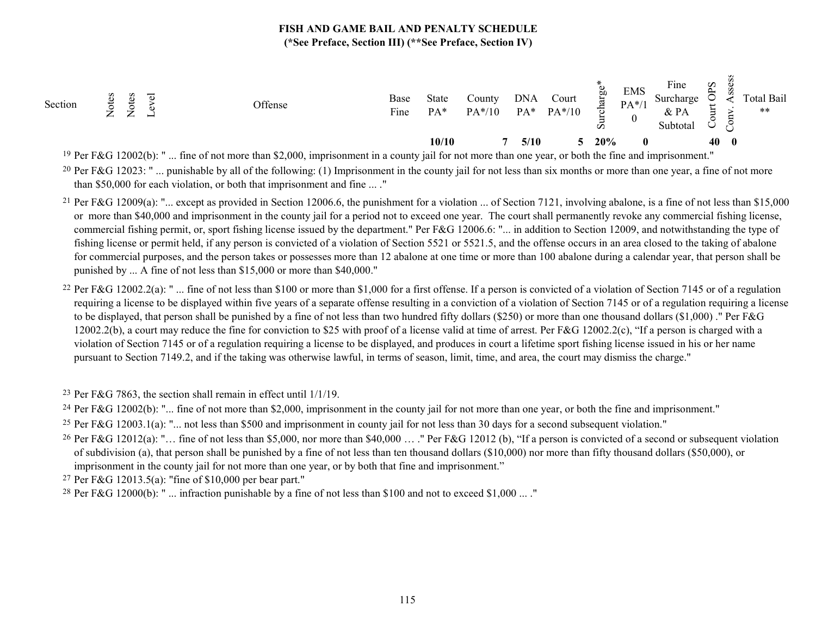| Section | $\overline{\phantom{0}}$<br>؎<br>⇁<br>ー<br>$\leftarrow$<br>−<br>← | Offense | Base<br>$\mathbf{r}$<br>Fine | <b>State</b><br>$PA*$ | County<br>$PA*/10$ | <b>DNA</b><br>PA* | Court<br>$PA*/10$ | <b>b</b><br>ಕ<br>$\boldsymbol{\omega}$ | <b>EMS</b><br>$PA*/1$ | Fine<br>Surcharge<br>& PA<br>Subtotal | Sdo<br>؎<br>ä<br>$\checkmark$ | $\cdot$      | Total Bail<br>$***$ |
|---------|-------------------------------------------------------------------|---------|------------------------------|-----------------------|--------------------|-------------------|-------------------|----------------------------------------|-----------------------|---------------------------------------|-------------------------------|--------------|---------------------|
|         |                                                                   |         |                              | 10/10                 |                    | 5/10              |                   | 20%                                    |                       |                                       | 40                            | $\mathbf{0}$ |                     |

<sup>19</sup> Per F&G 12002(b): " ... fine of not more than \$2,000, imprisonment in a county jail for not more than one year, or both the fine and imprisonment."

<sup>20</sup> Per F&G 12023: " ... punishable by all of the following: (1) Imprisonment in the county jail for not less than six months or more than one year, a fine of not more than \$50,000 for each violation, or both that imprisonment and fine ... ."

- <sup>21</sup> Per F&G 12009(a): "... except as provided in Section 12006.6, the punishment for a violation ... of Section 7121, involving abalone, is a fine of not less than \$15,000 or more than \$40,000 and imprisonment in the county jail for a period not to exceed one year. The court shall permanently revoke any commercial fishing license, commercial fishing permit, or, sport fishing license issued by the department." Per F&G 12006.6: "... in addition to Section 12009, and notwithstanding the type of fishing license or permit held, if any person is convicted of a violation of Section 5521 or 5521.5, and the offense occurs in an area closed to the taking of abalone for commercial purposes, and the person takes or possesses more than 12 abalone at one time or more than 100 abalone during a calendar year, that person shall be punished by ... A fine of not less than \$15,000 or more than \$40,000."
- <sup>22</sup> Per F&G 12002.2(a): " ... fine of not less than \$100 or more than \$1,000 for a first offense. If a person is convicted of a violation of Section 7145 or of a regulation requiring a license to be displayed within five years of a separate offense resulting in a conviction of a violation of Section 7145 or of a regulation requiring a license to be displayed, that person shall be punished by a fine of not less than two hundred fifty dollars (\$250) or more than one thousand dollars (\$1,000)." Per F&G 12002.2(b), a court may reduce the fine for conviction to \$25 with proof of a license valid at time of arrest. Per F&G 12002.2(c), "If a person is charged with a violation of Section 7145 or of a regulation requiring a license to be displayed, and produces in court a lifetime sport fishing license issued in his or her name pursuant to Section 7149.2, and if the taking was otherwise lawful, in terms of season, limit, time, and area, the court may dismiss the charge."

23 Per F&G 7863, the section shall remain in effect until 1/1/19.

<sup>24</sup> Per F&G 12002(b): "... fine of not more than \$2,000, imprisonment in the county jail for not more than one year, or both the fine and imprisonment."

- <sup>25</sup> Per F&G 12003.1(a): "... not less than \$500 and imprisonment in county jail for not less than 30 days for a second subsequent violation."
- <sup>26</sup> Per F&G 12012(a): "... fine of not less than \$5,000, nor more than \$40,000 ... ." Per F&G 12012 (b), "If a person is convicted of a second or subsequent violation of subdivision (a), that person shall be punished by a fine of not less than ten thousand dollars (\$10,000) nor more than fifty thousand dollars (\$50,000), or imprisonment in the county jail for not more than one year, or by both that fine and imprisonment."

27 Per F&G 12013.5(a): "fine of \$10,000 per bear part."

<sup>28</sup> Per F&G 12000(b): " ... infraction punishable by a fine of not less than \$100 and not to exceed \$1,000 ... ."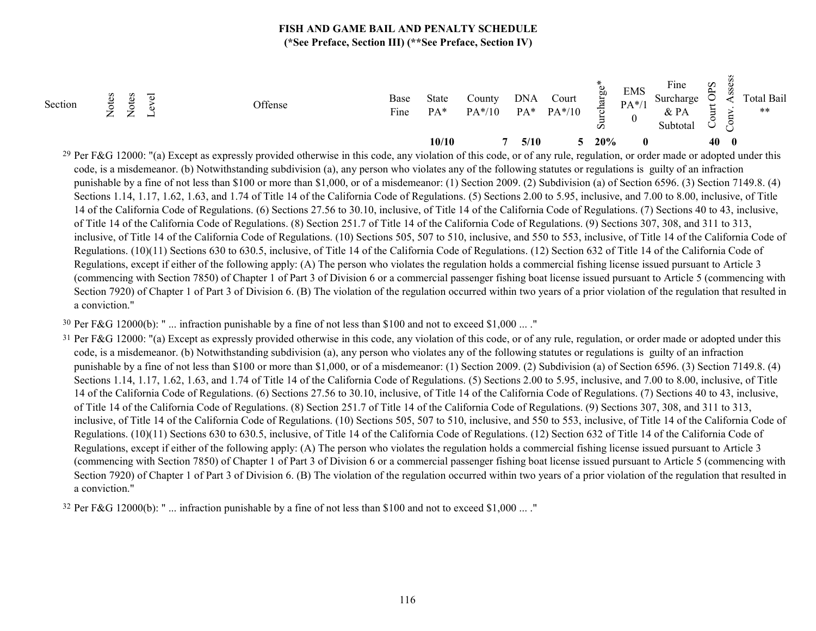| Section | $\overline{\phantom{0}}$<br>$\leftarrow$ | ∽<br>$\leftarrow$ | $\overline{\phantom{0}}$<br>− | Offense | Base<br>$\mathbf{r}$<br>Fine | State<br>PA <sup>*</sup> | County<br>$PA*/10$ | <b>DNA</b><br>PA* | Court<br>$PA*/10$ | <b>b</b><br>ಕ<br>-<br>S | <b>EMS</b><br>$PA*/1$ | Fine<br>Surcharge<br>$&$ PA<br>Subtota. | $\mathbf{S} \mathbf{d}$<br>∽<br>-<br>$\checkmark$ |          | Total Bail<br>$***$ |
|---------|------------------------------------------|-------------------|-------------------------------|---------|------------------------------|--------------------------|--------------------|-------------------|-------------------|-------------------------|-----------------------|-----------------------------------------|---------------------------------------------------|----------|---------------------|
|         |                                          |                   |                               |         |                              | 10/10                    |                    | 5/10              |                   | 20%                     | 0                     |                                         | 40                                                | $\bf{0}$ |                     |

<sup>29</sup> Per F&G 12000: "(a) Except as expressly provided otherwise in this code, any violation of this code, or of any rule, regulation, or order made or adopted under this code, is a misdemeanor. (b) Notwithstanding subdivision (a), any person who violates any of the following statutes or regulations is guilty of an infraction punishable by a fine of not less than \$100 or more than \$1,000, or of a misdemeanor: (1) Section 2009. (2) Subdivision (a) of Section 6596. (3) Section 7149.8. (4) Sections 1.14, 1.17, 1.62, 1.63, and 1.74 of Title 14 of the California Code of Regulations. (5) Sections 2.00 to 5.95, inclusive, and 7.00 to 8.00, inclusive, of Title 14 of the California Code of Regulations. (6) Sections 27.56 to 30.10, inclusive, of Title 14 of the California Code of Regulations. (7) Sections 40 to 43, inclusive, of Title 14 of the California Code of Regulations. (8) Section 251.7 of Title 14 of the California Code of Regulations. (9) Sections 307, 308, and 311 to 313, inclusive, of Title 14 of the California Code of Regulations. (10) Sections 505, 507 to 510, inclusive, and 550 to 553, inclusive, of Title 14 of the California Code of Regulations. (10)(11) Sections 630 to 630.5, inclusive, of Title 14 of the California Code of Regulations. (12) Section 632 of Title 14 of the California Code of Regulations, except if either of the following apply: (A) The person who violates the regulation holds a commercial fishing license issued pursuant to Article 3 (commencing with Section 7850) of Chapter 1 of Part 3 of Division 6 or a commercial passenger fishing boat license issued pursuant to Article 5 (commencing with Section 7920) of Chapter 1 of Part 3 of Division 6. (B) The violation of the regulation occurred within two years of a prior violation of the regulation that resulted in a conviction."

<sup>30</sup> Per F&G 12000(b): " ... infraction punishable by a fine of not less than \$100 and not to exceed \$1,000 ... ."

<sup>31</sup> Per F&G 12000: "(a) Except as expressly provided otherwise in this code, any violation of this code, or of any rule, regulation, or order made or adopted under this code, is a misdemeanor. (b) Notwithstanding subdivision (a), any person who violates any of the following statutes or regulations is guilty of an infraction punishable by a fine of not less than \$100 or more than \$1,000, or of a misdemeanor: (1) Section 2009. (2) Subdivision (a) of Section 6596. (3) Section 7149.8. (4) Sections 1.14, 1.17, 1.62, 1.63, and 1.74 of Title 14 of the California Code of Regulations. (5) Sections 2.00 to 5.95, inclusive, and 7.00 to 8.00, inclusive, of Title 14 of the California Code of Regulations. (6) Sections 27.56 to 30.10, inclusive, of Title 14 of the California Code of Regulations. (7) Sections 40 to 43, inclusive, of Title 14 of the California Code of Regulations. (8) Section 251.7 of Title 14 of the California Code of Regulations. (9) Sections 307, 308, and 311 to 313, inclusive, of Title 14 of the California Code of Regulations. (10) Sections 505, 507 to 510, inclusive, and 550 to 553, inclusive, of Title 14 of the California Code of Regulations. (10)(11) Sections 630 to 630.5, inclusive, of Title 14 of the California Code of Regulations. (12) Section 632 of Title 14 of the California Code of Regulations, except if either of the following apply: (A) The person who violates the regulation holds a commercial fishing license issued pursuant to Article 3 (commencing with Section 7850) of Chapter 1 of Part 3 of Division 6 or a commercial passenger fishing boat license issued pursuant to Article 5 (commencing with Section 7920) of Chapter 1 of Part 3 of Division 6. (B) The violation of the regulation occurred within two years of a prior violation of the regulation that resulted in a conviction."

32 Per F&G 12000(b): " ... infraction punishable by a fine of not less than \$100 and not to exceed \$1,000 ... ."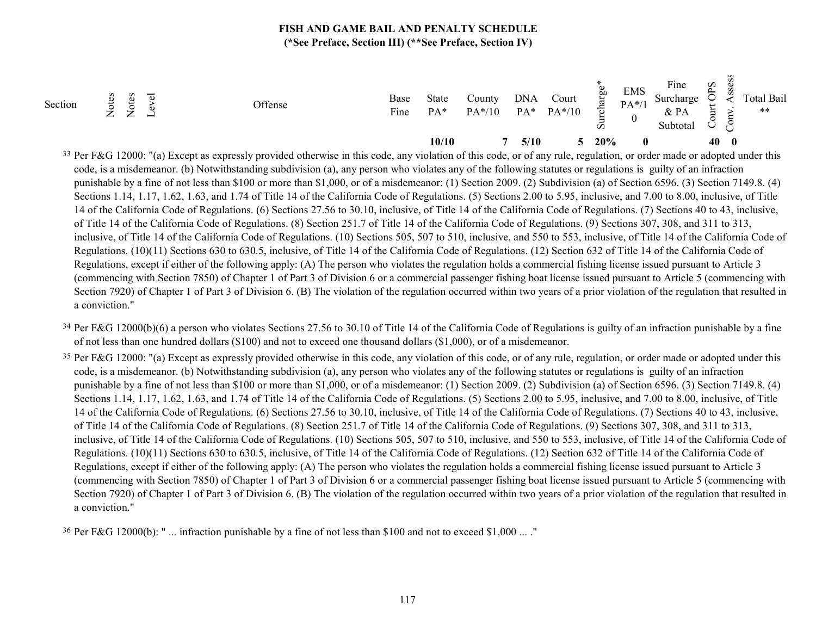| Section | $\overline{\phantom{0}}$<br>$\leftarrow$ | ∽<br>$\leftarrow$ | $\overline{\phantom{0}}$<br>− | Offense | Base<br>$\mathbf{r}$<br>Fine | State<br>PA <sup>*</sup> | County<br>$PA*/10$ | <b>DNA</b><br>PA* | Court<br>$PA*/10$ | <b>b</b><br>ಕ<br>-<br>S | <b>EMS</b><br>$PA*/1$ | Fine<br>Surcharge<br>$&$ PA<br>Subtota. | $\mathbf{S} \mathbf{d}$<br>∽<br>-<br>$\checkmark$ |          | Total Bail<br>$***$ |
|---------|------------------------------------------|-------------------|-------------------------------|---------|------------------------------|--------------------------|--------------------|-------------------|-------------------|-------------------------|-----------------------|-----------------------------------------|---------------------------------------------------|----------|---------------------|
|         |                                          |                   |                               |         |                              | 10/10                    |                    | 5/10              |                   | 20%                     | 0                     |                                         | 40                                                | $\bf{0}$ |                     |

<sup>33</sup> Per F&G 12000: "(a) Except as expressly provided otherwise in this code, any violation of this code, or of any rule, regulation, or order made or adopted under this code, is a misdemeanor. (b) Notwithstanding subdivision (a), any person who violates any of the following statutes or regulations is guilty of an infraction punishable by a fine of not less than \$100 or more than \$1,000, or of a misdemeanor: (1) Section 2009. (2) Subdivision (a) of Section 6596. (3) Section 7149.8. (4) Sections 1.14, 1.17, 1.62, 1.63, and 1.74 of Title 14 of the California Code of Regulations. (5) Sections 2.00 to 5.95, inclusive, and 7.00 to 8.00, inclusive, of Title 14 of the California Code of Regulations. (6) Sections 27.56 to 30.10, inclusive, of Title 14 of the California Code of Regulations. (7) Sections 40 to 43, inclusive, of Title 14 of the California Code of Regulations. (8) Section 251.7 of Title 14 of the California Code of Regulations. (9) Sections 307, 308, and 311 to 313, inclusive, of Title 14 of the California Code of Regulations. (10) Sections 505, 507 to 510, inclusive, and 550 to 553, inclusive, of Title 14 of the California Code of Regulations. (10)(11) Sections 630 to 630.5, inclusive, of Title 14 of the California Code of Regulations. (12) Section 632 of Title 14 of the California Code of Regulations, except if either of the following apply: (A) The person who violates the regulation holds a commercial fishing license issued pursuant to Article 3 (commencing with Section 7850) of Chapter 1 of Part 3 of Division 6 or a commercial passenger fishing boat license issued pursuant to Article 5 (commencing with Section 7920) of Chapter 1 of Part 3 of Division 6. (B) The violation of the regulation occurred within two years of a prior violation of the regulation that resulted in a conviction."

<sup>34</sup> Per F&G 12000(b)(6) a person who violates Sections 27.56 to 30.10 of Title 14 of the California Code of Regulations is guilty of an infraction punishable by a fine of not less than one hundred dollars (\$100) and not to exceed one thousand dollars (\$1,000), or of a misdemeanor.

<sup>35</sup> Per F&G 12000: "(a) Except as expressly provided otherwise in this code, any violation of this code, or of any rule, regulation, or order made or adopted under this code, is a misdemeanor. (b) Notwithstanding subdivision (a), any person who violates any of the following statutes or regulations is guilty of an infraction punishable by a fine of not less than \$100 or more than \$1,000, or of a misdemeanor: (1) Section 2009. (2) Subdivision (a) of Section 6596. (3) Section 7149.8. (4) Sections 1.14, 1.17, 1.62, 1.63, and 1.74 of Title 14 of the California Code of Regulations. (5) Sections 2.00 to 5.95, inclusive, and 7.00 to 8.00, inclusive, of Title 14 of the California Code of Regulations. (6) Sections 27.56 to 30.10, inclusive, of Title 14 of the California Code of Regulations. (7) Sections 40 to 43, inclusive, of Title 14 of the California Code of Regulations. (8) Section 251.7 of Title 14 of the California Code of Regulations. (9) Sections 307, 308, and 311 to 313, inclusive, of Title 14 of the California Code of Regulations. (10) Sections 505, 507 to 510, inclusive, and 550 to 553, inclusive, of Title 14 of the California Code of Regulations. (10)(11) Sections 630 to 630.5, inclusive, of Title 14 of the California Code of Regulations. (12) Section 632 of Title 14 of the California Code of Regulations, except if either of the following apply: (A) The person who violates the regulation holds a commercial fishing license issued pursuant to Article 3 (commencing with Section 7850) of Chapter 1 of Part 3 of Division 6 or a commercial passenger fishing boat license issued pursuant to Article 5 (commencing with Section 7920) of Chapter 1 of Part 3 of Division 6. (B) The violation of the regulation occurred within two years of a prior violation of the regulation that resulted in a conviction."

36 Per F&G 12000(b): " ... infraction punishable by a fine of not less than \$100 and not to exceed \$1,000 ... ."